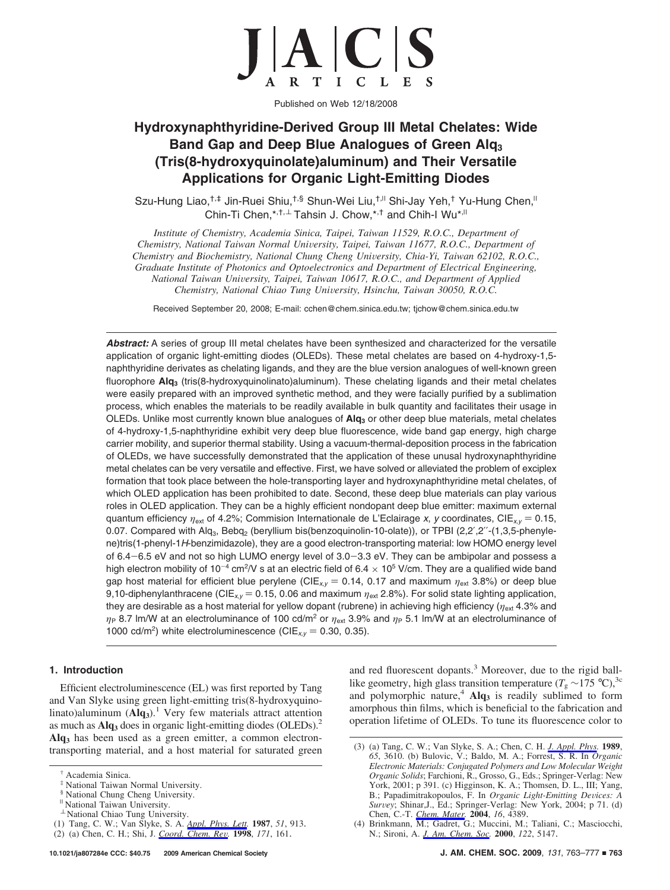

Published on Web 12/18/2008

# **Hydroxynaphthyridine-Derived Group III Metal Chelates: Wide Band Gap and Deep Blue Analogues of Green Alq3 (Tris(8-hydroxyquinolate)aluminum) and Their Versatile Applications for Organic Light-Emitting Diodes**

Szu-Hung Liao,<sup>†,‡</sup> Jin-Ruei Shiu,<sup>†,§</sup> Shun-Wei Liu,<sup>†,||</sup> Shi-Jay Yeh,<sup>†</sup> Yu-Hung Chen,<sup>||</sup> Chin-Ti Chen,\*,<sup>†,⊥</sup> Tahsin J. Chow,\*,<sup>†</sup> and Chih-I Wu\*<sup>,||</sup>

*Institute of Chemistry, Academia Sinica, Taipei, Taiwan 11529, R.O.C., Department of Chemistry, National Taiwan Normal University, Taipei, Taiwan 11677, R.O.C., Department of Chemistry and Biochemistry, National Chung Cheng University, Chia-Yi, Taiwan 62102, R.O.C., Graduate Institute of Photonics and Optoelectronics and Department of Electrical Engineering, National Taiwan Uni*V*ersity, Taipei, Taiwan 10617, R.O.C., and Department of Applied Chemistry, National Chiao Tung University, Hsinchu, Taiwan 30050, R.O.C.* 

Received September 20, 2008; E-mail: cchen@chem.sinica.edu.tw; tjchow@chem.sinica.edu.tw

Abstract: A series of group III metal chelates have been synthesized and characterized for the versatile application of organic light-emitting diodes (OLEDs). These metal chelates are based on 4-hydroxy-1,5 naphthyridine derivates as chelating ligands, and they are the blue version analogues of well-known green fluorophore **Alq3** (tris(8-hydroxyquinolinato)aluminum). These chelating ligands and their metal chelates were easily prepared with an improved synthetic method, and they were facially purified by a sublimation process, which enables the materials to be readily available in bulk quantity and facilitates their usage in OLEDs. Unlike most currently known blue analogues of **Alq**<sub>3</sub> or other deep blue materials, metal chelates of 4-hydroxy-1,5-naphthyridine exhibit very deep blue fluorescence, wide band gap energy, high charge carrier mobility, and superior thermal stability. Using a vacuum-thermal-deposition process in the fabrication of OLEDs, we have successfully demonstrated that the application of these unusal hydroxynaphthyridine metal chelates can be very versatile and effective. First, we have solved or alleviated the problem of exciplex formation that took place between the hole-transporting layer and hydroxynaphthyridine metal chelates, of which OLED application has been prohibited to date. Second, these deep blue materials can play various roles in OLED application. They can be a highly efficient nondopant deep blue emitter: maximum external quantum efficiency *<sup>η</sup>*ext of 4.2%; Commision Internationale de L'Eclairage *<sup>x</sup>*, *<sup>y</sup>* coordinates, CIE*x,y* ) 0.15, 0.07. Compared with Alq<sub>3</sub>, Bebq<sub>2</sub> (beryllium bis(benzoquinolin-10-olate)), or TPBI (2,2',2"-(1,3,5-phenylene)tris(1-phenyl-1*H*-benzimidazole), they are a good electron-transporting material: low HOMO energy level of 6.4-6.5 eV and not so high LUMO energy level of 3.0-3.3 eV. They can be ambipolar and possess a high electron mobility of 10<sup>-4</sup> cm<sup>2</sup>/V s at an electric field of 6.4  $\times$  10<sup>5</sup> V/cm. They are a qualified wide band gap host material for efficient blue perylene (CIE<sub>xy</sub> = 0.14, 0.17 and maximum  $\eta_{ext}$  3.8%) or deep blue 9,10-diphenylanthracene (CIE<sub>*x,y*</sub> = 0.15, 0.06 and maximum  $η_{ext}$  2.8%). For solid state lighting application, they are desirable as a host material for yellow dopant (rubrene) in achieving high efficiency ( $η<sub>ext</sub>$  4.3% and *η*<sub>P</sub> 8.7 lm/W at an electroluminance of 100 cd/m<sup>2</sup> or  $\eta_{ext}$  3.9% and  $\eta_p$  5.1 lm/W at an electroluminance of 1000 cd/m<sup>2</sup>) white electroluminescence (CIE<sub> $xy$ </sub> = 0.30, 0.35).

## **1. Introduction**

Efficient electroluminescence (EL) was first reported by Tang and Van Slyke using green light-emitting tris(8-hydroxyquinolinato)aluminum (Alq<sub>3</sub>).<sup>1</sup> Very few materials attract attention as much as **Alq3** does in organic light-emitting diodes (OLEDs).2 **Alq3** has been used as a green emitter, a common electrontransporting material, and a host material for saturated green and red fluorescent dopants.<sup>3</sup> Moreover, due to the rigid balllike geometry, high glass transition temperature ( $T_g \sim 175$  °C),<sup>3c</sup> and polymorphic nature,<sup>4</sup> Alq<sub>3</sub> is readily sublimed to form amorphous thin films, which is beneficial to the fabrication and operation lifetime of OLEDs. To tune its fluorescence color to

<sup>†</sup> Academia Sinica.

National Taiwan Normal University.

<sup>§</sup> National Chung Cheng University.

<sup>&</sup>lt;sup>"</sup> National Taiwan University.

 $<sup>\perp</sup>$  National Chiao Tung University.</sup>

<sup>(1)</sup> Tang, C. W.; Van Slyke, S. A. *Appl. Phys. Lett.* **1987**, *51*, 913.

<sup>(2) (</sup>a) Chen, C. H.; Shi, J. *Coord. Chem. Re*V*.* **<sup>1998</sup>**, *<sup>171</sup>*, 161.

<sup>(3) (</sup>a) Tang, C. W.; Van Slyke, S. A.; Chen, C. H. *J. Appl. Phys.* **1989**, *65*, 3610. (b) Bulovic, V.; Baldo, M. A.; Forrest, S. R. In *Organic Electronic Materials: Conjugated Polymers and Low Molecular Weight Organic Solids*; Farchioni, R., Grosso, G., Eds.; Springer-Verlag: New York, 2001; p 391. (c) Higginson, K. A.; Thomsen, D. L., III; Yang, B.; Papadimitrakopoulos, F. In *Organic Light-Emitting Devices: A* B.; Papadimitrakopoulos, F. In *Organic Light-Emitting Devices: A*<br>*Survey*: Shinar J. Ed.: Springer-Verlag: New York 2004: p.71. (d) *Survey*; Shinar,J., Ed.; Springer-Verlag: New York, 2004; p 71. (d)<br>Chen C -T *Chem Mater* 2004 16 4389. Chen, C.-T. *Chem. Mater.* **2004**, *16*, 4389.

<sup>(4)</sup> Brinkmann, M.; Gadret, G.; Muccini, M.; Taliani, C.; Masciocchi, N.; Sironi, A. *J. Am. Chem. Soc.* **2000**, *122*, 5147.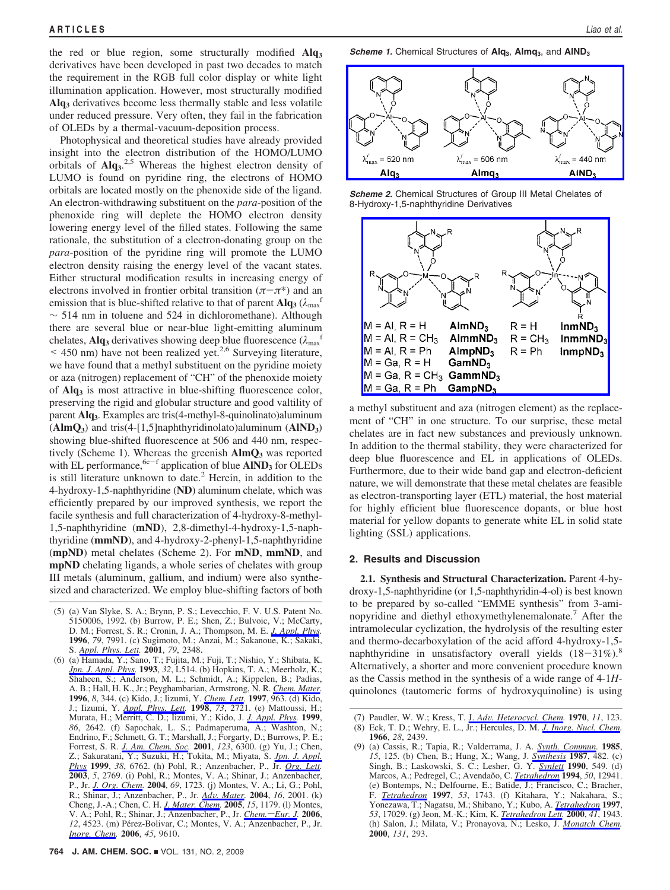the red or blue region, some structurally modified **Alq3** derivatives have been developed in past two decades to match the requirement in the RGB full color display or white light illumination application. However, most structurally modified **Alq3** derivatives become less thermally stable and less volatile under reduced pressure. Very often, they fail in the fabrication of OLEDs by a thermal-vacuum-deposition process.

Photophysical and theoretical studies have already provided insight into the electron distribution of the HOMO/LUMO orbitals of Alq<sub>3</sub>.<sup>2,5</sup> Whereas the highest electron density of LUMO is found on pyridine ring, the electrons of HOMO orbitals are located mostly on the phenoxide side of the ligand. An electron-withdrawing substituent on the *para*-position of the phenoxide ring will deplete the HOMO electron density lowering energy level of the filled states. Following the same rationale, the substitution of a electron-donating group on the *para*-position of the pyridine ring will promote the LUMO electron density raising the energy level of the vacant states. Either structural modification results in increasing energy of electrons involved in frontier orbital transition  $(π – π^*)$  and an emission that is blue-shifted relative to that of parent  $\mathbf{Alg}_3$  ( $\lambda_{\text{max}}$ ) ∼ 514 nm in toluene and 524 in dichloromethane). Although there are several blue or near-blue light-emitting aluminum chelates, **Alq**<sub>3</sub> derivatives showing deep blue fluorescence  $(\lambda_{\text{max}}^{\text{f}})$  $\leq$  450 nm) have not been realized yet.<sup>2,6</sup> Surveying literature, we have found that a methyl substituent on the pyridine moiety or aza (nitrogen) replacement of "CH" of the phenoxide moiety of **Alq3** is most attractive in blue-shifting fluorescence color, preserving the rigid and globular structure and good valtility of parent **Alq3**. Examples are tris(4-methyl-8-quinolinato)aluminum (**AlmQ3**) and tris(4-[1,5]naphthyridinolato)aluminum (**AlND3**) showing blue-shifted fluorescence at 506 and 440 nm, respectively (Scheme 1). Whereas the greenish  $\text{AlmQ}_3$  was reported with EL performance, <sup>6c-f</sup> application of blue **AIND**3 for OLEDs is still literature unknown to date.<sup>2</sup> Herein, in addition to the 4-hydroxy-1,5-naphthyridine (**ND**) aluminum chelate, which was efficiently prepared by our improved synthesis, we report the facile synthesis and full characterization of 4-hydroxy-8-methyl-1,5-naphthyridine (**mND**), 2,8-dimethyl-4-hydroxy-1,5-naphthyridine (**mmND**), and 4-hydroxy-2-phenyl-1,5-naphthyridine (**mpND**) metal chelates (Scheme 2). For **mND**, **mmND**, and **mpND** chelating ligands, a whole series of chelates with group III metals (aluminum, gallium, and indium) were also synthesized and characterized. We employ blue-shifting factors of both

(5) (a) Van Slyke, S. A.; Brynn, P. S.; Levecchio, F. V. U.S. Patent No. 5150006, 1992. (b) Burrow, P. E.; Shen, Z.; Bulvoic, V.; McCarty, D. M.; Forrest, S. R.; Cronin, J. A.; Thompson, M. E. *J. Appl. Phys.* **1996**, *79*, 7991. (c) Sugimoto, M.; Anzai, M.; Sakanoue, K.; Sakaki, S. *Appl. Phys. Lett.* **2001**, *79*, 2348.

(6) (a) Hamada, Y.; Sano, T.; Fujita, M.; Fuji, T.; Nishio, Y.; Shibata, K. *Jpn. J. Appl. Phys.* **1993**, *32*, L514. (b) Hopkins, T. A.; Meerholz, K.; Shaheen, S.; Anderson, M. L.; Schmidt, A.; Kippelen, B.; Padias, A. B.; Hall, H. K., Jr.; Peyghambarian, Armstrong, N. R. *Chem. Mater.* **1996**, *8*, 344. (c) Kido, J.; Iizumi, Y. *Chem. Lett.* **1997**, 963. (d) Kido, J.; Iizumi, Y. *Appl. Phys. Lett.* **1998**, *73*, 2721. (e) Mattoussi, H.; Murata, H.; Merritt, C. D.; Iizumi, Y.; Kido, J. *J. Appl. Phys.* **1999**, *86*, 2642. (f) Sapochak, L. S.; Padmaperuma, A.; Washton, N.; Endrino, F.; Schmett, G. T.; Marshall, J.; Forgarty, D.; Burrows, P. E.; Forrest, S. R. *J. Am. Chem. Soc.* **2001**, *123*, 6300. (g) Yu, J.; Chen, Z.; Sakuratani, Y.; Suzuki, H.; Tokita, M.; Miyata, S. *Jpn. J. Appl. Phys* **1999**, *38*, 6762. (h) Pohl, R.; Anzenbacher, P., Jr. *Org. Lett.* **2003**, *5*, 2769. (i) Pohl, R.; Montes, V. A.; Shinar, J.; Anzenbacher, P., Jr. *J. Org. Chem.* **2004**, *69*, 1723. (j) Montes, V. A.; Li, G.; Pohl, R.; Shinar, J.; Anzenbacher, P., Jr. *Ad*V*. Mater.* **<sup>2004</sup>**, *<sup>16</sup>*, 2001. (k) Cheng, J.-A.; Chen, C. H. *J. Mater. Chem.* **2005**, *15*, 1179. (l) Montes, V. A.; Pohl, R.; Shinar, J.; Anzenbacher, P., Jr. *Chem.*-*Eur. J.* 2006, 12, 4523. (m) Pérez-Bolivar, C.; Montes, V. A.; Anzenbacher, P., Jr. *Inorg. Chem.* **2006**, *45*, 9610.

**Scheme 1.** Chemical Structures of  $Alg_3$ , **Almq**<sub>3</sub>, and  $AlND_3$ 



*Scheme 2.* Chemical Structures of Group III Metal Chelates of 8-Hydroxy-1,5-naphthyridine Derivatives



a methyl substituent and aza (nitrogen element) as the replacement of "CH" in one structure. To our surprise, these metal chelates are in fact new substances and previously unknown. In addition to the thermal stability, they were characterized for deep blue fluorescence and EL in applications of OLEDs. Furthermore, due to their wide band gap and electron-deficient nature, we will demonstrate that these metal chelates are feasible as electron-transporting layer (ETL) material, the host material for highly efficient blue fluorescence dopants, or blue host material for yellow dopants to generate white EL in solid state lighting (SSL) applications.

## **2. Results and Discussion**

**2.1. Synthesis and Structural Characterization.** Parent 4-hydroxy-1,5-naphthyridine (or 1,5-naphthyridin-4-ol) is best known to be prepared by so-called "EMME synthesis" from 3-aminopyridine and diethyl ethoxymethylenemalonate.<sup>7</sup> After the intramolecular cyclization, the hydrolysis of the resulting ester and thermo-decarboxylation of the acid afford 4-hydroxy-1,5 naphthyridine in unsatisfactory overall yields  $(18-31\%)$ .<sup>8</sup> Alternatively, a shorter and more convenient procedure known as the Cassis method in the synthesis of a wide range of 4-1*H*quinolones (tautomeric forms of hydroxyquinoline) is using

<sup>(7)</sup> Paudler, W. W.; Kress, T. J. *Ad*V*. Heterocycl. Chem.* **<sup>1970</sup>**, *<sup>11</sup>*, 123. (8) Eck, T. D.; Wehry, E. L., Jr.; Hercules, D. M. *J. Inorg. Nucl. Chem.* **1966**, *28*, 2439.

<sup>(9) (</sup>a) Cassis, R.; Tapia, R.; Valderrama, J. A. *Synth. Commun.* **1985**, *15*, 125. (b) Chen, B.; Hung, X.; Wang, J. *Synthesis* **1987**, 482. (c) Singh, B.; Laskowski, S. C.; Lesher, G. Y. *Synlett* **1990**, 549. (d) Marcos, A.; Pedregel, C.; Avendaŏo, C. *Tetrahedron* 1994, 50, 12941. (e) Bontemps, N.; Delfourne, E.; Batide, J.; Francisco, C.; Bracher, F. *Tetrahedron* **1997**, *53*, 1743. (f) Kitahara, Y.; Nakahara, S.; Yonezawa, T.; Nagatsu, M.; Shibano, Y.; Kubo, A. *Tetrahedron* **1997**, *53*, 17029. (g) Jeon, M.-K.; Kim, K. *Tetrahedron Lett.* **2000**, *41*, 1943. (h) Salon, J.; Milata, V.; Pronayova, N.; Lesko, J. *Monatch Chem.* **2000**, *131*, 293.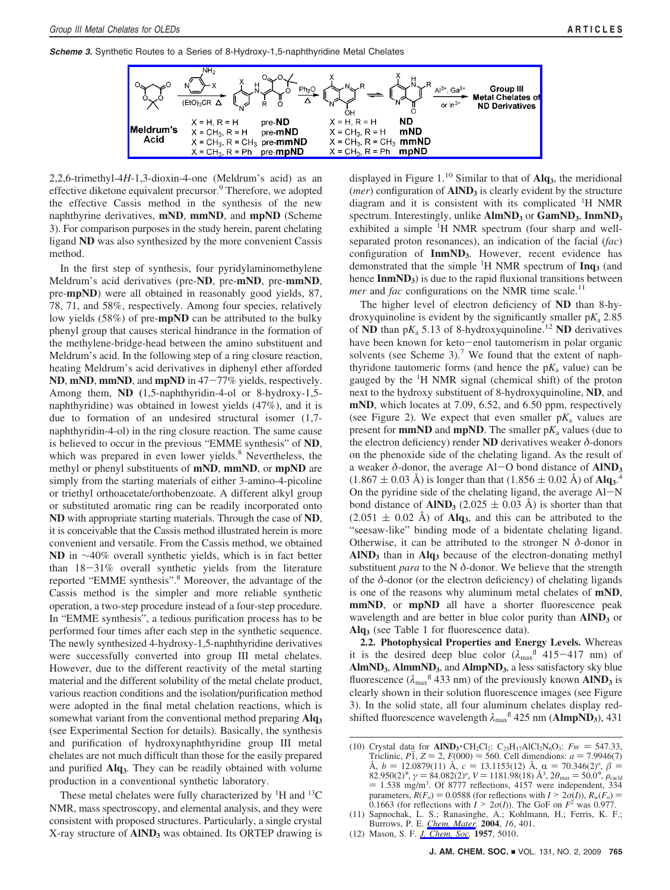*Scheme 3.* Synthetic Routes to a Series of 8-Hydroxy-1,5-naphthyridine Metal Chelates



2,2,6-trimethyl-4*H*-1,3-dioxin-4-one (Meldrum's acid) as an effective diketone equivalent precursor.<sup>9</sup> Therefore, we adopted the effective Cassis method in the synthesis of the new naphthyrine derivatives, **mND**, **mmND**, and **mpND** (Scheme 3). For comparison purposes in the study herein, parent chelating ligand **ND** was also synthesized by the more convenient Cassis method.

In the first step of synthesis, four pyridylaminomethylene Meldrum's acid derivatives (pre-**ND**, pre-**mND**, pre-**mmND**, pre-**mpND**) were all obtained in reasonably good yields, 87, 78, 71, and 58%, respectively. Among four species, relatively low yields (58%) of pre-**mpND** can be attributed to the bulky phenyl group that causes sterical hindrance in the formation of the methylene-bridge-head between the amino substituent and Meldrum's acid. In the following step of a ring closure reaction, heating Meldrum's acid derivatives in diphenyl ether afforded **ND**, **mND**, **mmND**, and **mpND** in 47-77% yields, respectively. Among them, **ND (**1,5-naphthyridin-4-ol or 8-hydroxy-1,5 naphthyridine) was obtained in lowest yields (47%), and it is due to formation of an undesired structural isomer (1,7 naphthyridin-4-ol) in the ring closure reaction. The same cause is believed to occur in the previous "EMME synthesis" of **ND**, which was prepared in even lower yields.<sup>8</sup> Nevertheless, the methyl or phenyl substituents of **mND**, **mmND**, or **mpND** are simply from the starting materials of either 3-amino-4-picoline or triethyl orthoacetate/orthobenzoate. A different alkyl group or substituted aromatic ring can be readily incorporated onto **ND** with appropriate starting materials. Through the case of **ND**, it is conceivable that the Cassis method illustrated herein is more convenient and versatile. From the Cassis method, we obtained ND in ∼40% overall synthetic yields, which is in fact better than 18-31% overall synthetic yields from the literature reported "EMME synthesis".<sup>8</sup> Moreover, the advantage of the Cassis method is the simpler and more reliable synthetic operation, a two-step procedure instead of a four-step procedure. In "EMME synthesis", a tedious purification process has to be performed four times after each step in the synthetic sequence. The newly synthesized 4-hydroxy-1,5-naphthyridine derivatives were successfully converted into group III metal chelates. However, due to the different reactivity of the metal starting material and the different solubility of the metal chelate product, various reaction conditions and the isolation/purification method were adopted in the final metal chelation reactions, which is somewhat variant from the conventional method preparing **Alq3** (see Experimental Section for details). Basically, the synthesis and purification of hydroxynaphthyridine group III metal chelates are not much difficult than those for the easily prepared and purified **Alq3**. They can be readily obtained with volume production in a conventional synthetic laboratory.

These metal chelates were fully characterized by  ${}^{1}H$  and  ${}^{13}C$ NMR, mass spectroscopy, and elemental analysis, and they were consistent with proposed structures. Particularly, a single crystal X-ray structure of **AlND3** was obtained. Its ORTEP drawing is displayed in Figure 1.10 Similar to that of **Alq3**, the meridional (*mer*) configuration of **AIND**<sub>3</sub> is clearly evident by the structure diagram and it is consistent with its complicated <sup>1</sup>H NMR spectrum. Interestingly, unlike AlmND<sub>3</sub> or GamND<sub>3</sub>, InmND<sub>3</sub> exhibited a simple <sup>1</sup>H NMR spectrum (four sharp and wellseparated proton resonances), an indication of the facial (*fac*) configuration of **InmND3**. However, recent evidence has demonstrated that the simple <sup>1</sup> H NMR spectrum of **Inq3** (and hence **InmND**<sub>3</sub>) is due to the rapid fluxional transitions between *mer* and *fac* configurations on the NMR time scale.<sup>11</sup>

The higher level of electron deficiency of **ND** than 8-hydroxyquinoline is evident by the significantly smaller  $pK_a$  2.85 of **ND** than  $pK_a$  5.13 of 8-hydroxyquinoline.<sup>12</sup> **ND** derivatives have been known for keto-enol tautomerism in polar organic solvents (see Scheme 3).<sup>7</sup> We found that the extent of naphthyridone tautomeric forms (and hence the  $pK_a$  value) can be gauged by the <sup>1</sup>H NMR signal (chemical shift) of the proton next to the hydroxy substituent of 8-hydroxyquinoline, **ND**, and **mND**, which locates at 7.09, 6.52, and 6.50 ppm, respectively (see Figure 2). We expect that even smaller  $pK_a$  values are present for **mmND** and **mpND**. The smaller  $pK_a$  values (due to the electron deficiency) render **ND** derivatives weaker *δ*-donors on the phenoxide side of the chelating ligand. As the result of a weaker *<sup>δ</sup>*-donor, the average Al-O bond distance of **AlND3**  $(1.867 \pm 0.03 \text{ Å})$  is longer than that  $(1.856 \pm 0.02 \text{ Å})$  of **Alq<sub>3</sub>**.<sup>4</sup><br>On the pyriding side of the chelating ligand, the average Al-N On the pyridine side of the chelating ligand, the average  $AI-N$ bond distance of  $\text{AlND}_3$  (2.025  $\pm$  0.03 Å) is shorter than that  $(2.051 \pm 0.02 \text{ Å})$  of Alq<sub>3</sub>, and this can be attributed to the "seesaw-like" binding mode of a bidentate chelating ligand. Otherwise, it can be attributed to the stronger N *δ*-donor in AIND<sub>3</sub> than in Alq<sub>3</sub> because of the electron-donating methyl substituent *para* to the N *δ*-donor. We believe that the strength of the *δ*-donor (or the electron deficiency) of chelating ligands is one of the reasons why aluminum metal chelates of **mND**, **mmND**, or **mpND** all have a shorter fluorescence peak wavelength and are better in blue color purity than **AIND**3 or **Alq3** (see Table 1 for fluorescence data).

**2.2. Photophysical Properties and Energy Levels.** Whereas it is the desired deep blue color  $(\lambda_{\text{max}}^{\text{fl}} 415-417 \text{ nm})$  of **AlmND3**, **AlmmND3**, and **AlmpND3**, a less satisfactory sky blue fluorescence ( $\lambda_{\text{max}}$ <sup>fl</sup> 433 nm) of the previously known **AlND**<sub>3</sub> is clearly shown in their solution fluorescence images (see Figure 3). In the solid state, all four aluminum chelates display redshifted fluorescence wavelength  $λ_{max}$ <sup>fl</sup> 425 nm (**AlmpND**3), 431

(12) Mason, S. F. *J. Chem. Soc.* **1957**, 5010.

<sup>(10)</sup> Crystal data for **AIND<sub>3</sub>** · CH<sub>2</sub>Cl<sub>2</sub>: C<sub>25</sub>H<sub>17</sub>AlCl<sub>2</sub>N<sub>6</sub>O<sub>3</sub>: *Fw* = 547.33, Triclinic,  $P_1$ ,  $Z = 2$ ,  $F(000) = 560$ . Cell dimendions:  $a = 7.9946(7)$ Triclinic, P1, Z = 2, F(000) = 560. Cell dimendions:  $a = 7.9946(7)$ <br>
Å,  $b = 12.0879(11)$  Å,  $c = 13.1153(12)$  Å,  $\alpha = 70.346(2)^\circ$ ,  $\beta = 82.950(2)^\circ$ ,  $\gamma = 84.082(2)^\circ$ ,  $\gamma = 181.98(18)$  Å?  $\frac{\partial_{max}}{\partial_{max}} = 50.0^\circ$ ,  $\rho_{\text{$ = 1.538 mg/m<sup>3</sup>. Of 8777 reflections, 4157 were independent, 334<br>parameters  $R(F_0) = 0.0588$  (for reflections with  $I \ge 2\sigma(I)$ ),  $R_u(F_0) =$ parameters,  $R(F_0) = 0.0588$  (for reflections with  $I > 2\sigma(I)$ ),  $R_w(F_0) = 0.1663$  (for reflections with  $I > 2\sigma(I)$ ). The GoF on  $F^2$  was 0.977.<br>Sannochak I. S : Ranasinghe, A : Kohlmann, H : Ferris, K F :

<sup>(11)</sup> Sapnochak, L. S.; Ranasinghe, A.; Kohlmann, H.; Ferris, K. F.; Burrows, P. E. *Chem. Mater.* **2004**, *16*, 401.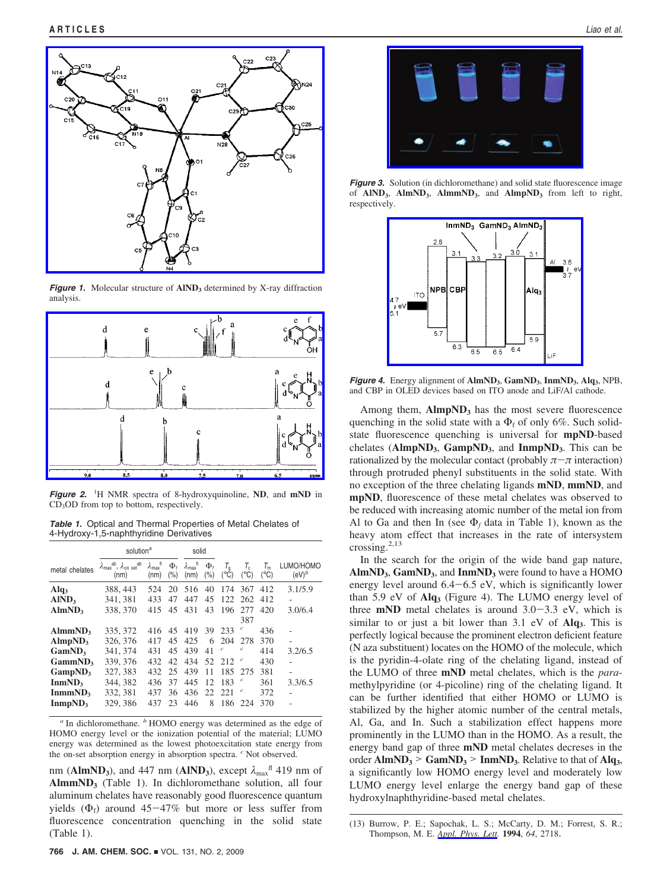

*Figure 1.* Molecular structure of **AIND**<sub>3</sub> determined by X-ray diffraction analysis.



**Figure 2.** <sup>1</sup>H NMR spectra of 8-hydroxyquinoline, **ND**, and **mND** in CD<sub>3</sub>OD from top to bottom, respectively.

*Table 1.* Optical and Thermal Properties of Metal Chelates of 4-Hydroxy-1,5-naphthyridine Derivatives

|                                                                                 | solution <sup>a</sup>                                                          |                                   | solid                |                                   |                       |                                   |                                       |                                                        |                       |
|---------------------------------------------------------------------------------|--------------------------------------------------------------------------------|-----------------------------------|----------------------|-----------------------------------|-----------------------|-----------------------------------|---------------------------------------|--------------------------------------------------------|-----------------------|
| metal chelates                                                                  | $\lambda_{\text{max}}^{\text{ab}}$ , $\lambda_{\text{on}}^{\text{ab}}$<br>(nm) | $\lambda_{\text{max}}$ fl<br>(nm) | $\Phi_t$<br>(% )     | $\lambda_{\text{max}}$ fl<br>(nm) | $\Phi_t$<br>(%)       | $T_{\mathsf{q}}$<br>$(^{\circ}C)$ | $T_{\rm c}$<br>$(^{\circ}C)$          | $\tau_{\scriptscriptstyle\mathsf{m}}$<br>$(^{\circ}C)$ | LUMO/HOMO<br>$(eV)^b$ |
| Alq <sub>3</sub><br>AlND <sub>3</sub>                                           | 388, 443<br>341, 381                                                           | 524<br>433                        | 20<br>47             | 516<br>447                        | 40<br>45              | 174<br>122.                       | 367<br>262                            | 412<br>412                                             | 3.1/5.9               |
| AlmND <sub>3</sub>                                                              | 338, 370                                                                       | 415                               | 45                   | 431                               | 43                    | 196                               | 277<br>387                            | 420                                                    | 3.0/6.4               |
| AlmmND <sub>3</sub><br>AlmpND <sub>3</sub><br>GamND <sub>3</sub>                | 335, 372<br>326, 376<br>341, 374                                               | 416<br>417<br>431                 | 45<br>45<br>45       | 419<br>425<br>439                 | 39<br>6<br>41         | 233<br>204<br>$\boldsymbol{c}$    | c<br>278<br>c                         | 436<br>370<br>414                                      | 3.2/6.5               |
| $Gamma_{3}$<br>GampND <sub>3</sub><br>InmND <sub>3</sub><br>InmmND <sub>3</sub> | 339, 376<br>327, 383<br>344.382<br>332, 381                                    | 432<br>432<br>436<br>437          | 42<br>25<br>37<br>36 | 434<br>439<br>445<br>436          | 52<br>11<br>12<br>22. | 2.12<br>185<br>183<br>22.1        | $\boldsymbol{c}$<br>275<br>$\epsilon$ | 430<br>381<br>361<br>372                               | ٠<br>3.3/6.5          |
| InmpND <sub>3</sub>                                                             | 329, 386                                                                       | 437                               | 23                   | 446                               | 8                     | 186                               | 224                                   | 370                                                    |                       |

*<sup>a</sup>* In dichloromethane. *<sup>b</sup>* HOMO energy was determined as the edge of HOMO energy level or the ionization potential of the material; LUMO energy was determined as the lowest photoexcitation state energy from the on-set absorption energy in absorption spectra. *<sup>c</sup>* Not observed.

nm ( $AlmND_3$ ), and 447 nm ( $AlND_3$ ), except  $\lambda_{max}$ <sup>fl</sup> 419 nm of AlmmND<sub>3</sub> (Table 1). In dichloromethane solution, all four aluminum chelates have reasonably good fluorescence quantum yields  $(\Phi_f)$  around 45-47% but more or less suffer from fluorescence concentration quenching in the solid state (Table 1).



**Figure 3.** Solution (in dichloromethane) and solid state fluorescence image of **AlND3**, **AlmND3**, **AlmmND3**, and **AlmpND3** from left to right, respectively.



*Figure 4.* Energy alignment of **AlmND3**, **GamND3**, **InmND3**, **Alq3**, NPB, and CBP in OLED devices based on ITO anode and LiF/Al cathode.

Among them, AlmpND<sub>3</sub> has the most severe fluorescence quenching in the solid state with a  $\Phi_f$  of only 6%. Such solidstate fluorescence quenching is universal for **mpND**-based chelates (**AlmpND3**, **GampND3**, and **InmpND3**. This can be rationalized by the molecular contact (probably  $\pi-\pi$  interaction) through protruded phenyl substituents in the solid state. With no exception of the three chelating ligands **mND**, **mmND**, and **mpND**, fluorescence of these metal chelates was observed to be reduced with increasing atomic number of the metal ion from Al to Ga and then In (see  $\Phi_f$  data in Table 1), known as the heavy atom effect that increases in the rate of intersystem crossing. $^{2,13}$ 

In the search for the origin of the wide band gap nature, AlmND<sub>3</sub>, GamND<sub>3</sub>, and **InmND**<sub>3</sub> were found to have a HOMO energy level around  $6.4-6.5$  eV, which is significantly lower than 5.9 eV of **Alq3** (Figure 4). The LUMO energy level of three **mND** metal chelates is around  $3.0-3.3$  eV, which is similar to or just a bit lower than 3.1 eV of **Alq3**. This is perfectly logical because the prominent electron deficient feature (N aza substituent) locates on the HOMO of the molecule, which is the pyridin-4-olate ring of the chelating ligand, instead of the LUMO of three **mND** metal chelates, which is the *para*methylpyridine (or 4-picoline) ring of the chelating ligand. It can be further identified that either HOMO or LUMO is stabilized by the higher atomic number of the central metals, Al, Ga, and In. Such a stabilization effect happens more prominently in the LUMO than in the HOMO. As a result, the energy band gap of three **mND** metal chelates decreses in the order  $\text{AlmND}_3$  >  $\text{GamND}_3$  >  $\text{ImmND}_3$ . Relative to that of  $\text{Alg}_3$ , a significantly low HOMO energy level and moderately low LUMO energy level enlarge the energy band gap of these hydroxylnaphthyridine-based metal chelates.

<sup>(13)</sup> Burrow, P. E.; Sapochak, L. S.; McCarty, D. M.; Forrest, S. R.; Thompson, M. E. *Appl. Phys. Lett.* **1994**, *64*, 2718.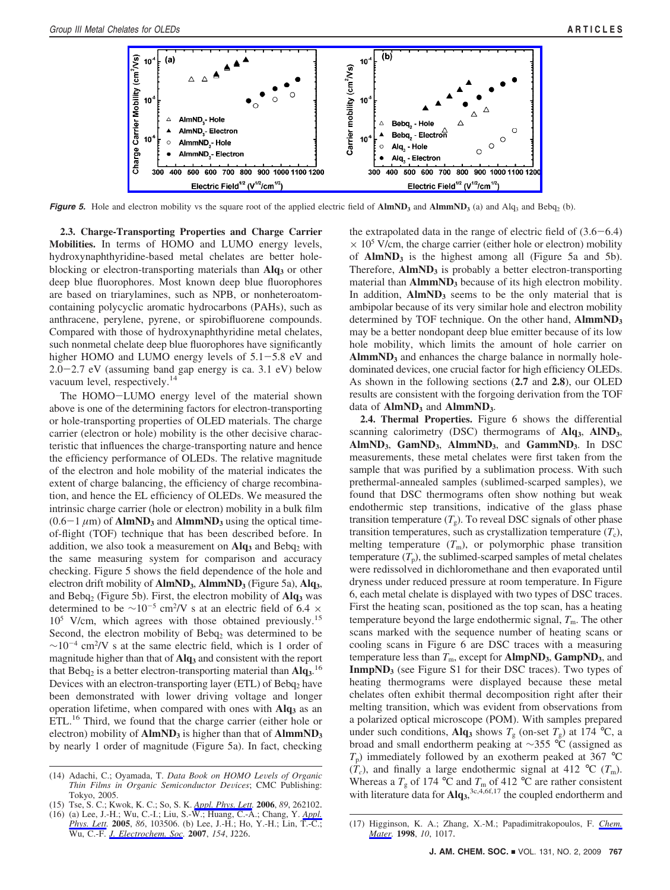

*Figure 5.* Hole and electron mobility vs the square root of the applied electric field of  $\text{AlmND}_3$  and  $\text{AlmND}_3$  (a) and  $\text{Alq}_3$  and  $\text{Bebq}_2$  (b).

**2.3. Charge-Transporting Properties and Charge Carrier Mobilities.** In terms of HOMO and LUMO energy levels, hydroxynaphthyridine-based metal chelates are better holeblocking or electron-transporting materials than **Alq**3 or other deep blue fluorophores. Most known deep blue fluorophores are based on triarylamines, such as NPB, or nonheteroatomcontaining polycyclic aromatic hydrocarbons (PAHs), such as anthracene, perylene, pyrene, or spirobifluorene compounds. Compared with those of hydroxynaphthyridine metal chelates, such nonmetal chelate deep blue fluorophores have significantly higher HOMO and LUMO energy levels of  $5.1-5.8$  eV and 2.0-2.7 eV (assuming band gap energy is ca. 3.1 eV) below vacuum level, respectively.<sup>14</sup>

The HOMO-LUMO energy level of the material shown above is one of the determining factors for electron-transporting or hole-transporting properties of OLED materials. The charge carrier (electron or hole) mobility is the other decisive characteristic that influences the charge-transporting nature and hence the efficiency performance of OLEDs. The relative magnitude of the electron and hole mobility of the material indicates the extent of charge balancing, the efficiency of charge recombination, and hence the EL efficiency of OLEDs. We measured the intrinsic charge carrier (hole or electron) mobility in a bulk film  $(0.6-1 \mu m)$  of **AlmND<sub>3</sub>** and **AlmmND<sub>3</sub>** using the optical timeof-flight (TOF) technique that has been described before. In addition, we also took a measurement on  $\mathbf{Alg}_3$  and  $\mathbf{Bebq}_2$  with the same measuring system for comparison and accuracy checking. Figure 5 shows the field dependence of the hole and electron drift mobility of **AlmND<sub>3</sub>**, **AlmmND**<sub>3</sub> (Figure 5a), **Alq**<sub>3</sub>, and Bebq<sub>2</sub> (Figure 5b). First, the electron mobility of **Alq**<sub>3</sub> was determined to be  $\sim 10^{-5}$  cm<sup>2</sup>/V s at an electric field of 6.4  $\times$ 105 V/cm, which agrees with those obtained previously.15 Second, the electron mobility of Bebq<sub>2</sub> was determined to be  $\sim 10^{-4}$  cm<sup>2</sup>/V s at the same electric field, which is 1 order of magnitude higher than that of **Alq3** and consistent with the report that Bebq<sub>2</sub> is a better electron-transporting material than  $\mathbf{Alg}^{16}$ Devices with an electron-transporting layer (ETL) of  $\text{Bebq}_2$  have been demonstrated with lower driving voltage and longer operation lifetime, when compared with ones with **Alq**3 as an ETL.<sup>16</sup> Third, we found that the charge carrier (either hole or electron) mobility of **AlmND**<sub>3</sub> is higher than that of **AlmmND**<sub>3</sub> by nearly 1 order of magnitude (Figure 5a). In fact, checking the extrapolated data in the range of electric field of  $(3.6-6.4)$  $\times$  10<sup>5</sup> V/cm, the charge carrier (either hole or electron) mobility of **AlmND<sub>3</sub>** is the highest among all (Figure 5a and 5b). Therefore,  $\text{AlmND}_3$  is probably a better electron-transporting material than **AlmmND**<sub>3</sub> because of its high electron mobility. In addition,  $AlmND<sub>3</sub>$  seems to be the only material that is ambipolar because of its very similar hole and electron mobility determined by TOF technique. On the other hand, **AlmmND3** may be a better nondopant deep blue emitter because of its low hole mobility, which limits the amount of hole carrier on **AlmmND3** and enhances the charge balance in normally holedominated devices, one crucial factor for high efficiency OLEDs. As shown in the following sections (**2.7** and **2.8**), our OLED results are consistent with the forgoing derivation from the TOF data of **AlmND**<sub>3</sub> and **AlmmND**<sub>3</sub>.

**2.4. Thermal Properties.** Figure 6 shows the differential scanning calorimetry (DSC) thermograms of **Alq3**, **AlND3**, **AlmND3**, **GamND3**, **AlmmND3**, and **GammND3**. In DSC measurements, these metal chelates were first taken from the sample that was purified by a sublimation process. With such prethermal-annealed samples (sublimed-scarped samples), we found that DSC thermograms often show nothing but weak endothermic step transitions, indicative of the glass phase transition temperature  $(T<sub>g</sub>)$ . To reveal DSC signals of other phase transition temperatures, such as crystallization temperature  $(T_c)$ , melting temperature  $(T<sub>m</sub>)$ , or polymorphic phase transition temperature  $(T_p)$ , the sublimed-scarped samples of metal chelates were redissolved in dichloromethane and then evaporated until dryness under reduced pressure at room temperature. In Figure 6, each metal chelate is displayed with two types of DSC traces. First the heating scan, positioned as the top scan, has a heating temperature beyond the large endothermic signal,  $T<sub>m</sub>$ . The other scans marked with the sequence number of heating scans or cooling scans in Figure 6 are DSC traces with a measuring temperature less than  $T_m$ , except for  $\text{AlmpND}_3$ ,  $\text{GampND}_3$ , and **InmpND<sub>3</sub>** (see Figure S1 for their DSC traces). Two types of heating thermograms were displayed because these metal chelates often exhibit thermal decomposition right after their melting transition, which was evident from observations from a polarized optical microscope (POM). With samples prepared under such conditions, Alq<sub>3</sub> shows  $T_g$  (on-set  $T_g$ ) at 174 °C, a broad and small endortherm peaking at ∼355 °C (assigned as  $T_p$ ) immediately followed by an exotherm peaked at 367 °C  $(\dot{T}_c)$ , and finally a large endothermic signal at 412 °C ( $T_m$ ). Whereas a  $T_{\rm g}$  of 174 °C and  $T_{\rm m}$  of 412 °C are rather consistent with literature data for Alq<sub>3</sub>,<sup>3c,4,6f,17</sup> the coupled endortherm and

<sup>(14)</sup> Adachi, C.; Oyamada, T. *Data Book on HOMO Le*V*els of Organic Thin Films in Organic Semiconductor Devices*; CMC Publishing: Tokyo, 2005.

<sup>(15)</sup> Tse, S. C.; Kwok, K. C.; So, S. K. *Appl. Phys. Lett.* **2006**, *89*, 262102.

<sup>(16) (</sup>a) Lee, J.-H.; Wu, C.-I.; Liu, S.-W.; Huang, C.-A.; Chang, Y. *Appl.*

Phys. Lett. 2005, 86, 103506. (b) Lee, J.-H.; Ho, Y.-H.; Lin, T.-C.; (17) Higginson, K. A.; Zhang, X.-M.; Papadimitrakopoulos, F. Chem.<br>Wu, C.-F. J. Electrochem. Soc. 2007, 154, 1226. (Mater. 1998, 10, 1017. Mater. 1998, 1 *Mater.* **1998**, *10*, 1017.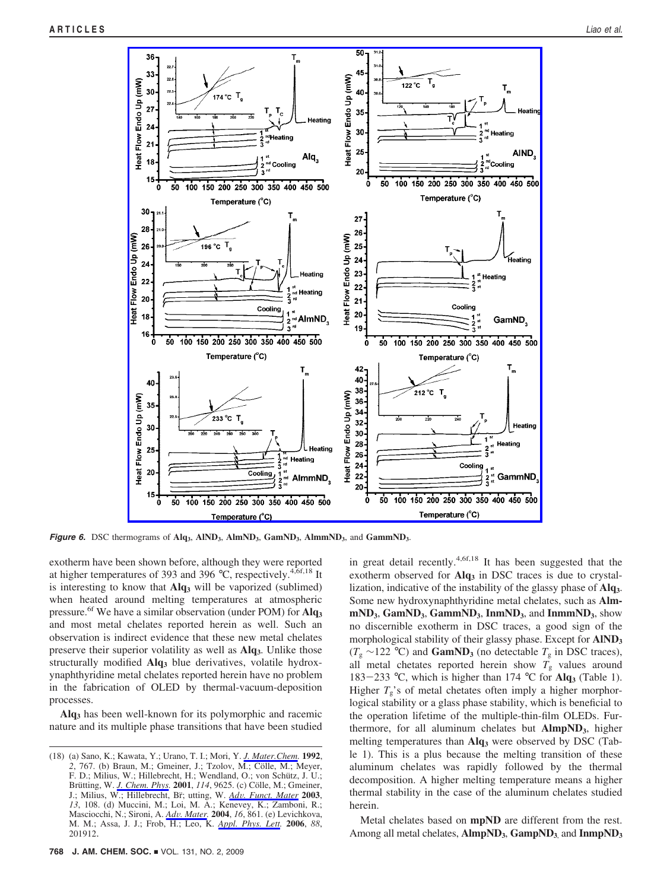

*Figure 6.* DSC thermograms of **Alq3**, **AlND3**, **AlmND3**, **GamND3**, **AlmmND3**, and **GammND3**.

exotherm have been shown before, although they were reported at higher temperatures of 393 and 396 °C, respectively.<sup>4,6f,18</sup> It is interesting to know that Alq<sub>3</sub> will be vaporized (sublimed) when heated around melting temperatures at atmospheric pressure.6f We have a similar observation (under POM) for **Alq3** and most metal chelates reported herein as well. Such an observation is indirect evidence that these new metal chelates preserve their superior volatility as well as **Alq3**. Unlike those structurally modified Alq<sub>3</sub> blue derivatives, volatile hydroxynaphthyridine metal chelates reported herein have no problem in the fabrication of OLED by thermal-vacuum-deposition processes.

**Alq3** has been well-known for its polymorphic and racemic nature and its multiple phase transitions that have been studied

in great detail recently.<sup>4,6f,18</sup> It has been suggested that the exotherm observed for Alq<sub>3</sub> in DSC traces is due to crystallization, indicative of the instability of the glassy phase of **Alq3**. Some new hydroxynaphthyridine metal chelates, such as **AlmmND3**, **GamND3**, **GammND3**, **InmND3**, and **InmmND3**, show no discernible exotherm in DSC traces, a good sign of the morphological stability of their glassy phase. Except for **AlND3**  $(T_g \sim 122$  °C) and **GamND**<sub>3</sub> (no detectable  $T_g$  in DSC traces), all metal chetates reported herein show  $T<sub>g</sub>$  values around <sup>183</sup>-<sup>233</sup> °C, which is higher than 174 °C for **Alq3** (Table 1). Higher  $T_g$ 's of metal chetates often imply a higher morphorlogical stability or a glass phase stability, which is beneficial to the operation lifetime of the multiple-thin-film OLEDs. Furthermore, for all aluminum chelates but **AlmpND3**, higher melting temperatures than Alq<sub>3</sub> were observed by DSC (Table 1). This is a plus because the melting transition of these aluminum chelates was rapidly followed by the thermal decomposition. A higher melting temperature means a higher thermal stability in the case of the aluminum chelates studied herein.

Metal chelates based on **mpND** are different from the rest. Among all metal chelates, **AlmpND<sub>3</sub>**, **GampND<sub>3</sub>** and **InmpND**<sub>3</sub>

<sup>(18) (</sup>a) Sano, K.; Kawata, Y.; Urano, T. I.; Mori, Y. *J. Mater.Chem.* **1992**, 2, 767. (b) Braun, M.; Gmeiner, J.; Tzolov, M.; Cölle, M.; Meyer, F. D.; Milius, W.; Hillebrecht, H.; Wendland, O.; von Schütz, J. U.; Brütting, W. *J. Chem. Phys.* 2001, 114, 9625. (c) Cölle, M.; Gmeiner, J.; Milius, W.; Hillebrecht, Br¨; utting, W. *Ad*V*. Funct. Mater* **<sup>2003</sup>**, *13*, 108. (d) Muccini, M.; Loi, M. A.; Kenevey, K.; Zamboni, R.; Masciocchi, N.; Sironi, A. *Ad*V*. Mater.* **<sup>2004</sup>**, *<sup>16</sup>*, 861. (e) Levichkova, M. M.; Assa, J. J.; Frob, H.; Leo, K. *Appl. Phys. Lett.* **2006**, *88*, 201912.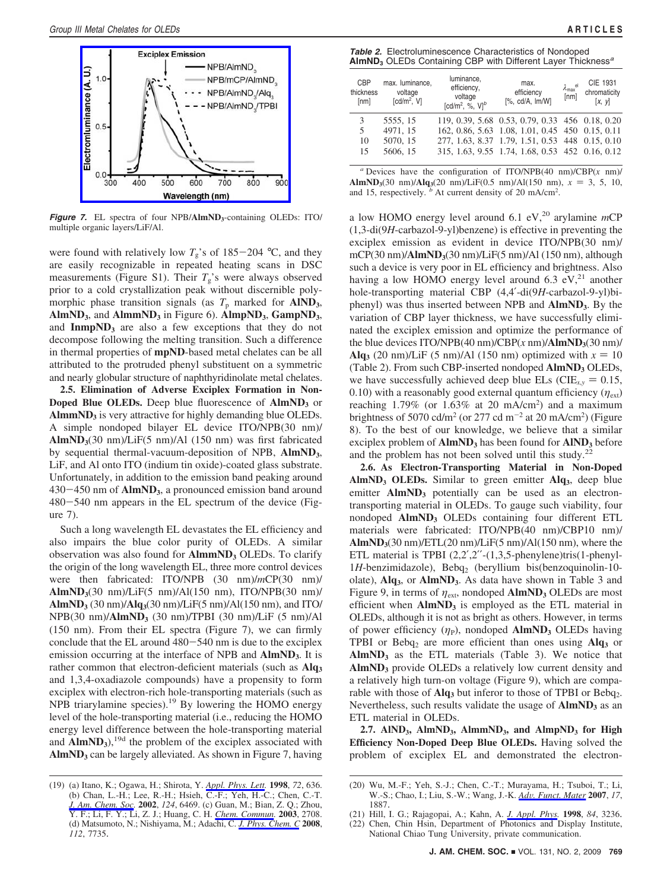

**Figure 7.** EL spectra of four NPB/AlmND<sub>3</sub>-containing OLEDs: ITO/ multiple organic layers/LiF/Al.

were found with relatively low  $T_g$ 's of 185-204 °C, and they are easily recognizable in repeated heating scans in DSC measurements (Figure S1). Their  $T_g$ 's were always observed prior to a cold crystallization peak without discernible polymorphic phase transition signals (as  $T_p$  marked for **AIND**<sub>3</sub>, **AlmND3**, and **AlmmND3** in Figure 6). **AlmpND3**, **GampND3**, and  $ImpND<sub>3</sub>$  are also a few exceptions that they do not decompose following the melting transition. Such a difference in thermal properties of **mpND**-based metal chelates can be all attributed to the protruded phenyl substituent on a symmetric and nearly globular structure of naphthyridinolate metal chelates.

**2.5. Elimination of Adverse Exciplex Formation in Non-Doped Blue OLEDs.** Deep blue fluorescence of **AlmND**3 or AlmmND<sub>3</sub> is very attractive for highly demanding blue OLEDs. A simple nondoped bilayer EL device ITO/NPB(30 nm)/ **AlmND3**(30 nm)/LiF(5 nm)/Al (150 nm) was first fabricated by sequential thermal-vacuum-deposition of NPB, **AlmND3**, LiF, and Al onto ITO (indium tin oxide)-coated glass substrate. Unfortunately, in addition to the emission band peaking around <sup>430</sup>-450 nm of **AlmND3**, a pronounced emission band around <sup>480</sup>-540 nm appears in the EL spectrum of the device (Figure 7).

Such a long wavelength EL devastates the EL efficiency and also impairs the blue color purity of OLEDs. A similar observation was also found for **AlmmND**<sub>3</sub> OLEDs. To clarify the origin of the long wavelength EL, three more control devices were then fabricated: ITO/NPB (30 nm)/*m*CP(30 nm)/ **AlmND3**(30 nm)/LiF(5 nm)/Al(150 nm), ITO/NPB(30 nm)/ **AlmND3** (30 nm)/**Alq3**(30 nm)/LiF(5 nm)/Al(150 nm), and ITO/ NPB(30 nm)/**AlmND3** (30 nm)/TPBI (30 nm)/LiF (5 nm)/Al (150 nm). From their EL spectra (Figure 7), we can firmly conclude that the EL around 480-540 nm is due to the exciplex emission occurring at the interface of NPB and **AlmND<sub>3</sub>**. It is rather common that electron-deficient materials (such as Alq<sub>3</sub> and 1,3,4-oxadiazole compounds) have a propensity to form exciplex with electron-rich hole-transporting materials (such as NPB triarylamine species).19 By lowering the HOMO energy level of the hole-transporting material (i.e., reducing the HOMO energy level difference between the hole-transporting material and  $\overline{AlmND_3}$ ,<sup>19d</sup> the problem of the exciplex associated with AlmND<sub>3</sub> can be largely alleviated. As shown in Figure 7, having

| <b>Table 2.</b> Electroluminescence Characteristics of Nondoped                     |
|-------------------------------------------------------------------------------------|
| AlmND <sub>3</sub> OLEDs Containing CBP with Different Layer Thickness <sup>a</sup> |

| CBP<br>thickness<br>[nm] | max. luminance.<br>voltage<br>[cd/m <sup>2</sup> , V] | luminance.<br>efficiency,<br>voltage<br>[cd/m <sup>2</sup> , %, $VI^b$ | max.<br>efficiency<br>$[%$ , cd/A, $Im/W]$      | $\lambda_{\text{max}}^{\text{el}}$ [nm] | CIE 1931<br>chromaticity<br>[x, y] |
|--------------------------|-------------------------------------------------------|------------------------------------------------------------------------|-------------------------------------------------|-----------------------------------------|------------------------------------|
| 3                        | 5555.15                                               |                                                                        | 119, 0.39, 5.68 0.53, 0.79, 0.33 456 0.18, 0.20 |                                         |                                    |
| 5                        | 4971.15                                               |                                                                        | 162, 0.86, 5.63 1.08, 1.01, 0.45 450 0.15, 0.11 |                                         |                                    |
| 10                       | 5070, 15                                              |                                                                        | 277, 1.63, 8.37 1.79, 1.51, 0.53 448 0.15, 0.10 |                                         |                                    |
| 15                       | 5606, 15                                              |                                                                        | 315, 1.63, 9.55 1.74, 1.68, 0.53 452 0.16, 0.12 |                                         |                                    |
|                          |                                                       |                                                                        |                                                 |                                         |                                    |

*<sup>a</sup>* Devices have the configuration of ITO/NPB(40 nm)/CBP(*x* nm)/ **AlmND<sub>3</sub>**(30 nm)/**Alq**<sub>3</sub>(20 nm)/LiF(0.5 nm)/Al(150 nm),  $x = 3, 5, 10$ , and 15, respectively.  $\overline{b}$  At current density of 20 mA/cm<sup>2</sup>.

a low HOMO energy level around 6.1 eV,<sup>20</sup> arylamine *mCP* (1,3-di(9*H*-carbazol-9-yl)benzene) is effective in preventing the exciplex emission as evident in device ITO/NPB(30 nm)/ mCP(30 nm)/**AlmND**<sub>3</sub>(30 nm)/LiF(5 nm)/Al (150 nm), although such a device is very poor in EL efficiency and brightness. Also having a low HOMO energy level around 6.3  $eV<sub>1</sub><sup>21</sup>$  another hole-transporting material CBP (4,4′-di(9*H*-carbazol-9-yl)biphenyl) was thus inserted between NPB and **AlmND3**. By the variation of CBP layer thickness, we have successfully eliminated the exciplex emission and optimize the performance of the blue devices ITO/NPB $(40 \text{ nm})$ /CBP $(x \text{ nm})$ /**AlmND**<sub>3</sub> $(30 \text{ nm})$ / Alq<sub>3</sub> (20 nm)/LiF (5 nm)/Al (150 nm) optimized with  $x = 10$ (Table 2). From such CBP-inserted nondoped **AlmND**<sub>3</sub> OLEDs, we have successfully achieved deep blue ELs ( $CIE_{x,y} = 0.15$ , 0.10) with a reasonably good external quantum efficiency  $(\eta_{ext})$ reaching  $1.79\%$  (or  $1.63\%$  at 20 mA/cm<sup>2</sup>) and a maximum brightness of 5070 cd/m<sup>2</sup> (or 277 cd m<sup>-2</sup> at 20 mA/cm<sup>2</sup>) (Figure 8). To the best of our knowledge, we believe that a similar exciplex problem of **AlmND**<sub>3</sub> has been found for **AIND**<sub>3</sub> before and the problem has not been solved until this study.<sup>22</sup>

**2.6. As Electron-Transporting Material in Non-Doped AlmND3 OLEDs.** Similar to green emitter **Alq3**, deep blue emitter **AlmND<sub>3</sub>** potentially can be used as an electrontransporting material in OLEDs. To gauge such viability, four nondoped **AlmND<sub>3</sub>** OLEDs containing four different ETL materials were fabricated: ITO/NPB(40 nm)/CBP10 nm)/  $\text{AlmND}_3(30 \text{ nm})/\text{ETL}(20 \text{ nm})/\text{LiF}(5 \text{ nm})/\text{Al}(150 \text{ nm})$ , where the ETL material is TPBI  $(2,2',2''-(1,3,5{\text{-}phenylene})\text{tris}(1{\text{-}phenyl-}$ 1*H*-benzimidazole), Bebq<sub>2</sub> (beryllium bis(benzoquinolin-10olate), **Alq3**, or **AlmND3**. As data have shown in Table 3 and Figure 9, in terms of  $\eta_{ext}$ , nondoped  $\text{AlmND}_3$  OLEDs are most efficient when **AlmND**<sub>3</sub> is employed as the ETL material in OLEDs, although it is not as bright as others. However, in terms of power efficiency  $(\eta_P)$ , nondoped **AlmND**<sub>3</sub> OLEDs having TPBI or Bebq2 are more efficient than ones using **Alq3** or  $AlmND<sub>3</sub>$  as the ETL materials (Table 3). We notice that AlmND<sub>3</sub> provide OLEDs a relatively low current density and a relatively high turn-on voltage (Figure 9), which are comparable with those of **Alq**<sub>3</sub> but inferor to those of TPBI or Bebq<sub>2</sub>. Nevertheless, such results validate the usage of **AlmND**<sub>3</sub> as an ETL material in OLEDs.

2.7. AIND<sub>3</sub>, AlmND<sub>3</sub>, AlmmND<sub>3</sub>, and AlmpND<sub>3</sub> for High **Efficiency Non-Doped Deep Blue OLEDs.** Having solved the problem of exciplex EL and demonstrated the electron-

<sup>(19) (</sup>a) Itano, K.; Ogawa, H.; Shirota, Y. *Appl. Phys. Lett.* **1998**, *72*, 636. (b) Chan, L.-H.; Lee, R.-H.; Hsieh, C.-F.; Yeh, H.-C.; Chen, C.-T. *J. Am. Chem. Soc.* **2002**, *124*, 6469. (c) Guan, M.; Bian, Z. Q.; Zhou, Y. F.; Li, F. Y.; Li, Z. J.; Huang, C. H. *Chem. Commun.* **2003**, 2708. (d) Matsumoto, N.; Nishiyama, M.; Adachi, C. *J. Phys. Chem. C* **2008**, *112*, 7735.

<sup>(20)</sup> Wu, M.-F.; Yeh, S.-J.; Chen, C.-T.; Murayama, H.; Tsuboi, T.; Li, W.-S.; Chao, I.; Liu, S.-W.; Wang, J.-K. *Ad*V*. Funct. Mater* **<sup>2007</sup>**, *<sup>17</sup>*, 1887.

<sup>(21)</sup> Hill, I. G.; Rajagopai, A.; Kahn, A. *J. Appl. Phys.* **1998**, *84*, 3236.

Chen, Chin Hsin, Department of Photonics and Display Institute, National Chiao Tung University, private communication.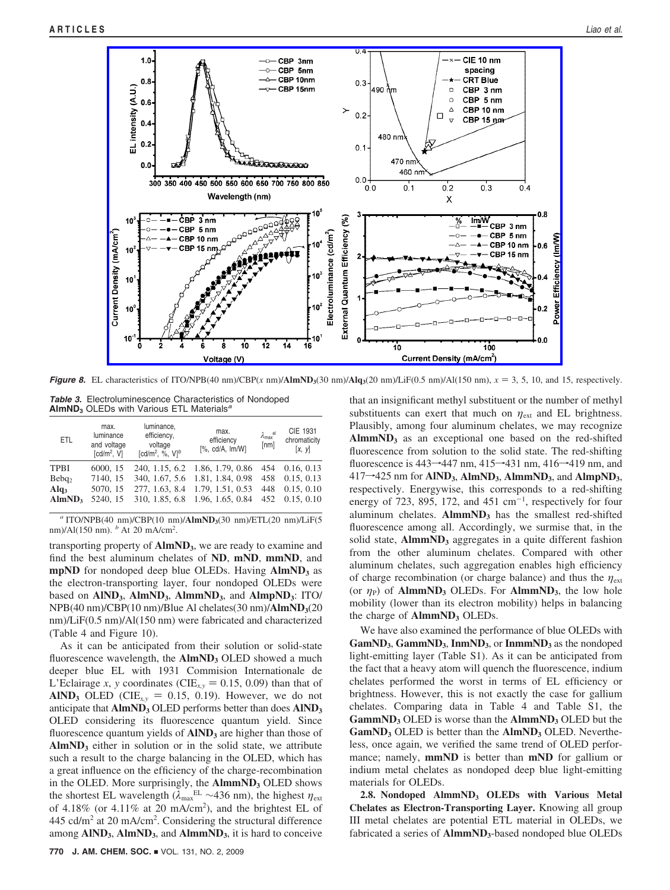

*Figure 8.* EL characteristics of ITO/NPB(40 nm)/CBP(*x* nm)/**AlmND**<sub>3</sub>(30 nm)/**Alq**<sub>3</sub>(20 nm)/LiF(0.5 nm)/Al(150 nm),  $x = 3, 5, 10$ , and 15, respectively.

*Table 3.* Electroluminescence Characteristics of Nondoped **AlmND3** OLEDs with Various ETL Materials*<sup>a</sup>*

| <b>ETL</b>         | max.<br>luminance<br>and voltage<br>[cd/m <sup>2</sup> , V] | luminance,<br>efficiency,<br>voltage<br>[cd/m <sup>2</sup> , %, $VI^b$ | max.<br>efficiency<br>$[%$ , cd/A, $Im/W]$ | $\lambda_{\text{max}}^{\text{el}}$<br>$\overline{\text{[nm]}}$ | CIE 1931<br>chromaticity<br>[x, y] |
|--------------------|-------------------------------------------------------------|------------------------------------------------------------------------|--------------------------------------------|----------------------------------------------------------------|------------------------------------|
| <b>TPBI</b>        | 6000, 15                                                    | 240, 1.15, 6.2                                                         | 1.86, 1.79, 0.86                           | 454                                                            | 0.16, 0.13                         |
| Bebq <sub>2</sub>  | 7140, 15                                                    | 340, 1.67, 5.6                                                         | 1.81, 1.84, 0.98                           | 458                                                            | 0.15, 0.13                         |
| Alq <sub>3</sub>   | 5070, 15                                                    | 277, 1.63, 8.4                                                         | 1.79, 1.51, 0.53                           | 448                                                            | 0.15, 0.10                         |
| AlmND <sub>3</sub> | 5240, 15                                                    | 310, 1.85, 6.8                                                         | 1.96, 1.65, 0.84                           | 452                                                            | 0.15, 0.10                         |
|                    |                                                             |                                                                        |                                            |                                                                |                                    |

*<sup>a</sup>* ITO/NPB(40 nm)/CBP(10 nm)/**AlmND3**(30 nm)/ETL(20 nm)/LiF(5 nm)/Al(150 nm). <sup>*b*</sup> At 20 mA/cm<sup>2</sup>.

transporting property of **AlmND**<sub>3</sub>, we are ready to examine and find the best aluminum chelates of **ND**, **mND**, **mmND**, and **mpND** for nondoped deep blue OLEDs. Having **AlmND**3 as the electron-transporting layer, four nondoped OLEDs were based on **AlND3**, **AlmND3**, **AlmmND3**, and **AlmpND3**: ITO/ NPB(40 nm)/CBP(10 nm)/Blue Al chelates(30 nm)/**AlmND**<sub>3</sub>(20 nm)/LiF(0.5 nm)/Al(150 nm) were fabricated and characterized (Table 4 and Figure 10).

As it can be anticipated from their solution or solid-state fluorescence wavelength, the **AlmND**<sub>3</sub> OLED showed a much deeper blue EL with 1931 Commision Internationale de L'Eclairage *x*, *y* coordinates (CIE<sub>*x*,*y*</sub> = 0.15, 0.09) than that of **AIND<sub>3</sub>** OLED (CIE<sub> $x,y$ </sub> = 0.15, 0.19). However, we do not anticipate that **AlmND3** OLED performs better than does **AlND3** OLED considering its fluorescence quantum yield. Since fluorescence quantum yields of **AIND**<sub>3</sub> are higher than those of AlmND<sub>3</sub> either in solution or in the solid state, we attribute such a result to the charge balancing in the OLED, which has a great influence on the efficiency of the charge-recombination in the OLED. More surprisingly, the **AlmmND3** OLED shows the shortest EL wavelength ( $λ_{max}^{EL}$  ~436 nm), the highest  $η_{ext}$ of 4.18% (or 4.11% at 20 mA/cm<sup>2</sup>), and the brightest EL of  $445$  cd/m<sup>2</sup> at 20 mA/cm<sup>2</sup>. Considering the structural difference among  $\text{AlND}_3$ ,  $\text{AlmND}_3$ , and  $\text{AlmmND}_3$ , it is hard to conceive

that an insignificant methyl substituent or the number of methyl substituents can exert that much on *η*ext and EL brightness. Plausibly, among four aluminum chelates, we may recognize AlmmND<sub>3</sub> as an exceptional one based on the red-shifted fluorescence from solution to the solid state. The red-shifting fluorescence is  $443\rightarrow 447$  nm,  $415\rightarrow 431$  nm,  $416\rightarrow 419$  nm, and  $417\rightarrow 425$  nm for  $\text{AlND}_3$ ,  $\text{AlmND}_3$ ,  $\text{AlmmND}_3$ , and  $\text{AlmpND}_3$ , respectively. Energywise, this corresponds to a red-shifting energy of 723, 895, 172, and 451  $\text{cm}^{-1}$ , respectively for four aluminum chelates.  $\text{AlmmND}_3$  has the smallest red-shifted fluorescence among all. Accordingly, we surmise that, in the solid state, **AlmmND**<sub>3</sub> aggregates in a quite different fashion from the other aluminum chelates. Compared with other aluminum chelates, such aggregation enables high efficiency of charge recombination (or charge balance) and thus the *η*ext (or  $\eta_P$ ) of **AlmmND<sub>3</sub>** OLEDs. For **AlmmND**<sub>3</sub>, the low hole mobility (lower than its electron mobility) helps in balancing the charge of **AlmmND3** OLEDs.

We have also examined the performance of blue OLEDs with **GamND3**, **GammND3**, **InmND3**, or **InmmND3** as the nondoped light-emitting layer (Table S1). As it can be anticipated from the fact that a heavy atom will quench the fluorescence, indium chelates performed the worst in terms of EL efficiency or brightness. However, this is not exactly the case for gallium chelates. Comparing data in Table 4 and Table S1, the **GammND3** OLED is worse than the **AlmmND3** OLED but the GamND<sub>3</sub> OLED is better than the AlmND<sub>3</sub> OLED. Nevertheless, once again, we verified the same trend of OLED performance; namely, **mmND** is better than **mND** for gallium or indium metal chelates as nondoped deep blue light-emitting materials for OLEDs.

**2.8. Nondoped AlmmND3 OLEDs with Various Metal Chelates as Electron-Transporting Layer.** Knowing all group III metal chelates are potential ETL material in OLEDs, we fabricated a series of **AlmmND**<sub>3</sub>-based nondoped blue OLEDs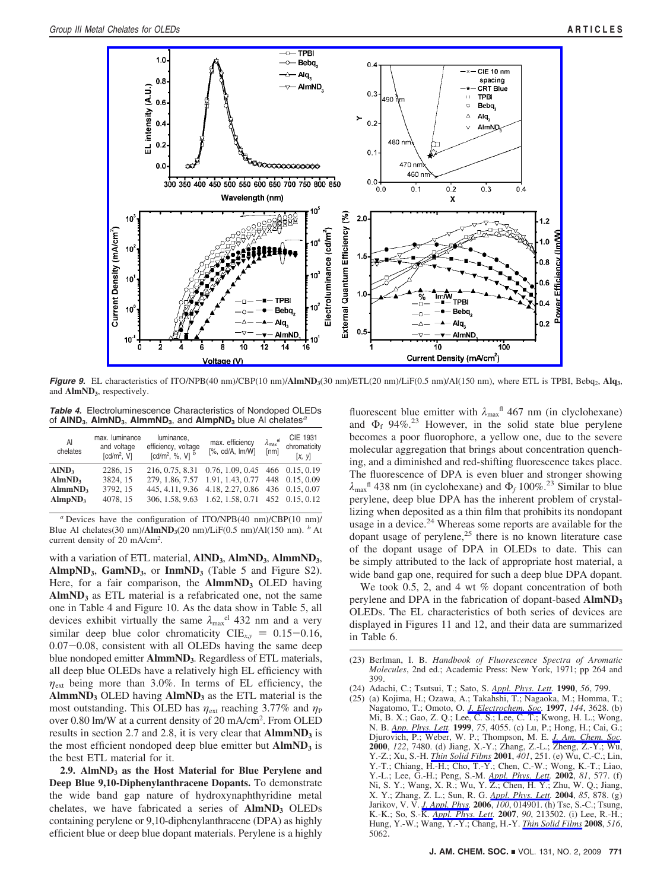

*Figure 9.* EL characteristics of ITO/NPB(40 nm)/CBP(10 nm)/AlmND<sub>3</sub>(30 nm)/ETL(20 nm)/LiF(0.5 nm)/Al(150 nm), where ETL is TPBI, Bebq<sub>2</sub>, Alq<sub>3</sub>, and **AlmND**<sub>3</sub>, respectively.

*Table 4.* Electroluminescence Characteristics of Nondoped OLEDs of **AlND3**, **AlmND3**, **AlmmND3**, and **AlmpND3** blue Al chelates*<sup>a</sup>*

| AI<br>chelates                                                                        | max. luminance<br>and voltage<br>[cd/m <sup>2</sup> , V] | luminance,<br>efficiency, voltage<br>[cd/m <sup>2</sup> , %, V] $^{b}$ | max. efficiency<br>$[%$ , cd/A, $Im/W]$                                                                                                                                                                  | $\lambda_{\rm max}^{\quad \  \, \rm el}$<br>[nm] | CIE 1931<br>chromaticity<br>[x, y] |
|---------------------------------------------------------------------------------------|----------------------------------------------------------|------------------------------------------------------------------------|----------------------------------------------------------------------------------------------------------------------------------------------------------------------------------------------------------|--------------------------------------------------|------------------------------------|
| AlND <sub>3</sub><br>AlmND <sub>3</sub><br>AlmmND <sub>3</sub><br>AlmpND <sub>3</sub> | 2286, 15<br>3824, 15<br>3792.15<br>4078.15               |                                                                        | 216, 0.75, 8.31 0.76, 1.09, 0.45 466 0.15, 0.19<br>279, 1.86, 7.57 1.91, 1.43, 0.77 448 0.15, 0.09<br>445, 4.11, 9.36 4.18, 2.27, 0.86 436 0.15, 0.07<br>306, 1.58, 9.63 1.62, 1.58, 0.71 452 0.15, 0.12 |                                                  |                                    |

*<sup>a</sup>* Devices have the configuration of ITO/NPB(40 nm)/CBP(10 nm)/ Blue Al chelates(30 nm)/**AlmND3**(20 nm)/LiF(0.5 nm)/Al(150 nm). *<sup>b</sup>* At current density of 20 mA/cm2 .

with a variation of ETL material, **AlND3**, **AlmND3**, **AlmmND3**, AlmpND<sub>3</sub>, GamND<sub>3</sub>, or InmND<sub>3</sub> (Table 5 and Figure S2). Here, for a fair comparison, the **AlmmND**<sub>3</sub> OLED having AlmND<sub>3</sub> as ETL material is a refabricated one, not the same one in Table 4 and Figure 10. As the data show in Table 5, all devices exhibit virtually the same  $\lambda_{\text{max}}^{e}$  432 nm and a very similar deep blue color chromaticity  $CIE_{x,y} = 0.15-0.16$ , 0.07-0.08, consistent with all OLEDs having the same deep blue nondoped emitter **AlmmND3**. Regardless of ETL materials, all deep blue OLEDs have a relatively high EL efficiency with  $\eta_{\text{ext}}$  being more than 3.0%. In terms of EL efficiency, the **AlmmND3** OLED having **AlmND3** as the ETL material is the most outstanding. This OLED has  $η_{ext}$  reaching 3.77% and  $η_P$ over 0.80 lm/W at a current density of 20 mA/cm<sup>2</sup>. From OLED results in section 2.7 and 2.8, it is very clear that **AlmmND**<sub>3</sub> is the most efficient nondoped deep blue emitter but **AlmND**3 is the best ETL material for it.

**2.9. AlmND3 as the Host Material for Blue Perylene and Deep Blue 9,10-Diphenylanthracene Dopants.** To demonstrate the wide band gap nature of hydroxynaphthyridine metal chelates, we have fabricated a series of **AlmND<sub>3</sub>** OLEDs containing perylene or 9,10-diphenylanthracene (DPA) as highly efficient blue or deep blue dopant materials. Perylene is a highly

fluorescent blue emitter with  $λ_{max}$ <sup>fl</sup> 467 nm (in clyclohexane) and  $\Phi_f$  94%.<sup>23</sup> However, in the solid state blue perylene becomes a poor fluorophore, a yellow one, due to the severe molecular aggregation that brings about concentration quenching, and a diminished and red-shifting fluorescence takes place. The fluorescence of DPA is even bluer and stronger showing  $\lambda_{\text{max}}$ <sup>fl</sup> 438 nm (in cyclohexane) and  $\Phi_f$  100%.<sup>23</sup> Similar to blue perylene, deep blue DPA has the inherent problem of crystallizing when deposited as a thin film that prohibits its nondopant usage in a device.<sup>24</sup> Whereas some reports are available for the dopant usage of perylene,<sup>25</sup> there is no known literature case of the dopant usage of DPA in OLEDs to date. This can be simply attributed to the lack of appropriate host material, a wide band gap one, required for such a deep blue DPA dopant.

We took 0.5, 2, and 4 wt  $%$  dopant concentration of both perylene and DPA in the fabrication of dopant-based **AlmND3** OLEDs. The EL characteristics of both series of devices are displayed in Figures 11 and 12, and their data are summarized in Table 6.

- (23) Berlman, I. B. *Handbook of Fluorescence Spectra of Aromatic Molecules*, 2nd ed.; Academic Press: New York, 1971; pp 264 and 399.
- (24) Adachi, C.; Tsutsui, T.; Sato, S. *Appl. Phys. Lett.* **1990**, *56*, 799.
- (25) (a) Kojima, H.; Ozawa, A.; Takahshi, T.; Nagaoka, M.; Homma, T.; Nagatomo, T.; Omoto, O. *J. Electrochem. Soc.* **1997**, *144*, 3628. (b) Mi, B. X.; Gao, Z. Q.; Lee, C. S.; Lee, C. T.; Kwong, H. L.; Wong, N. B. *App. Phys. Lett.* **1999**, *75*, 4055. (c) Lu, P.; Hong, H.; Cai, G.; Djurovich, P.; Weber, W. P.; Thompson, M. E. *J. Am. Chem. Soc.* **2000**, *122*, 7480. (d) Jiang, X.-Y.; Zhang, Z.-L.; Zheng, Z.-Y.; Wu, Y.-Z.; Xu, S.-H. *Thin Solid Films* **2001**, *401*, 251. (e) Wu, C.-C.; Lin, Y.-T.; Chiang, H.-H.; Cho, T.-Y.; Chen, C.-W.; Wong, K.-T.; Liao, Y.-L.; Lee, G.-H.; Peng, S.-M. *Appl. Phys. Lett.* **2002**, *81*, 577. (f) Ni, S. Y.; Wang, X. R.; Wu, Y. Z.; Chen, H. Y.; Zhu, W. Q.; Jiang, X. Y.; Zhang, Z. L.; Sun, R. G. *Appl. Phys. Lett.* **2004**, *85*, 878. (g) Jarikov, V. V. *J. Appl. Phys.* **2006**, *100*, 014901. (h) Tse, S.-C.; Tsung, K.-K.; So, S.-K. *Appl. Phys. Lett.* **2007**, *90*, 213502. (i) Lee, R.-H.; Hung, Y.-W.; Wang, Y.-Y.; Chang, H.-Y. *Thin Solid Films* **2008**, *516*, 5062.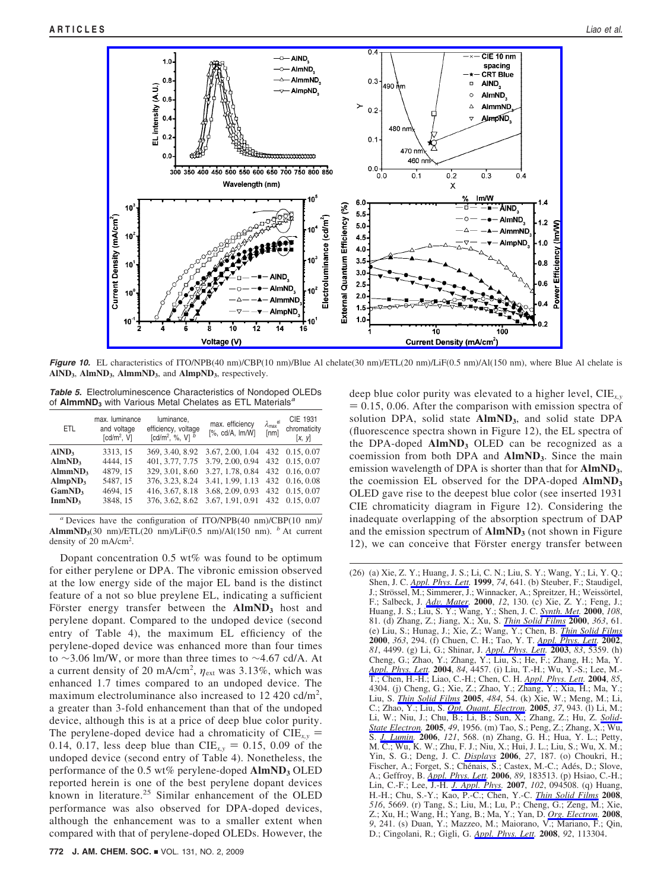

**Figure 10.** EL characteristics of ITO/NPB(40 nm)/CBP(10 nm)/Blue Al chelate(30 nm)/ETL(20 nm)/LiF(0.5 nm)/Al(150 nm), where Blue Al chelate is AlND<sub>3</sub>, AlmND<sub>3</sub>, AlmmND<sub>3</sub>, and AlmpND<sub>3</sub>, respectively.

*Table 5.* Electroluminescence Characteristics of Nondoped OLEDs of **AlmmND3** with Various Metal Chelates as ETL Materials*<sup>a</sup>*

| ETL.                                                                                                                              | max. luminance<br>and voltage<br>[cd/m <sup>2</sup> , V]          | luminance,<br>efficiency, voltage<br>[cd/m <sup>2</sup> , %, V] $^{b}$ | max. efficiency<br>$[%$ , cd/A, $Im/W]$                                                                                                                                                            | $\lambda_{\text{max}}^{\text{el}}$<br>[nm] | CIE 1931<br>chromaticity<br>[x, y]                                   |
|-----------------------------------------------------------------------------------------------------------------------------------|-------------------------------------------------------------------|------------------------------------------------------------------------|----------------------------------------------------------------------------------------------------------------------------------------------------------------------------------------------------|--------------------------------------------|----------------------------------------------------------------------|
| AlND <sub>3</sub><br>AlmND <sub>3</sub><br>AlmmND <sub>3</sub><br>AlmpND <sub>3</sub><br>GamND <sub>3</sub><br>InmND <sub>3</sub> | 3313.15<br>4444, 15<br>4879.15<br>5487, 15<br>4694, 15<br>3848.15 | 329, 3.01, 8.60<br>376, 3.23, 8.24<br>416, 3.67, 8.18                  | 369, 3.40, 8.92 3.67, 2.00, 1.04<br>401, 3.77, 7.75 3.79, 2.00, 0.94 432 0.15, 0.07<br>3.27, 1.78, 0.84 432 0.16, 0.07<br>3.41, 1.99, 1.13<br>3.68, 2.09, 0.93<br>376, 3.62, 8.62 3.67, 1.91, 0.91 |                                            | 432 0.15, 0.07<br>432 0.16, 0.08<br>432 0.15, 0.07<br>432 0.15, 0.07 |
|                                                                                                                                   |                                                                   |                                                                        |                                                                                                                                                                                                    |                                            |                                                                      |

*<sup>a</sup>* Devices have the configuration of ITO/NPB(40 nm)/CBP(10 nm)/ **AlmmND3**(30 nm)/ETL(20 nm)/LiF(0.5 nm)/Al(150 nm). *<sup>b</sup>* At current density of 20 mA/cm<sup>2</sup>.

Dopant concentration 0.5 wt% was found to be optimum for either perylene or DPA. The vibronic emission observed at the low energy side of the major EL band is the distinct feature of a not so blue preylene EL, indicating a sufficient Förster energy transfer between the **AlmND**3 host and perylene dopant. Compared to the undoped device (second entry of Table 4), the maximum EL efficiency of the perylene-doped device was enhanced more than four times to ∼3.06 lm/W, or more than three times to ∼4.67 cd/A. At a current density of 20 mA/cm<sup>2</sup>,  $η_{ext}$  was 3.13%, which was enhanced 1.7 times compared to an undoped device. The maximum electroluminance also increased to  $12\,420\,\text{cd/m}^2$ , a greater than 3-fold enhancement than that of the undoped device, although this is at a price of deep blue color purity. The perylene-doped device had a chromaticity of  $CIE_{x,y}$  = 0.14, 0.17, less deep blue than  $CIE_{x,y} = 0.15, 0.09$  of the undoped device (second entry of Table 4). Nonetheless, the performance of the 0.5 wt% perylene-doped AlmND<sub>3</sub> OLED reported herein is one of the best perylene dopant devices known in literature.<sup>25</sup> Similar enhancement of the OLED performance was also observed for DPA-doped devices, although the enhancement was to a smaller extent when compared with that of perylene-doped OLEDs. However, the

deep blue color purity was elevated to a higher level, CIE*x,y*  $= 0.15, 0.06$ . After the comparison with emission spectra of solution DPA, solid state **AlmND**<sub>3</sub>, and solid state DPA (fluorescence spectra shown in Figure 12), the EL spectra of the DPA-doped  $AlmND<sub>3</sub>$  OLED can be recognized as a coemission from both DPA and **AlmND<sub>3</sub>**. Since the main emission wavelength of DPA is shorter than that for **AlmND3**, the coemission EL observed for the DPA-doped AlmND<sub>3</sub> OLED gave rise to the deepest blue color (see inserted 1931 CIE chromaticity diagram in Figure 12). Considering the inadequate overlapping of the absorption spectrum of DAP and the emission spectrum of **AlmND**<sub>3</sub> (not shown in Figure 12), we can conceive that Förster energy transfer between

<sup>(26) (</sup>a) Xie, Z. Y.; Huang, J. S.; Li, C. N.; Liu, S. Y.; Wang, Y.; Li, Y. Q.; Shen, J. C. *Appl. Phys. Lett.* **1999**, *74*, 641. (b) Steuber, F.; Staudigel, J.; Strössel, M.; Simmerer, J.; Winnacker, A.; Spreitzer, H.; Weissörtel, F.; Salbeck, J. *Adv. Mater.* 2000, 12, 130. (c) Xie, Z. Y.; Feng, J.; F.; Salbeck, J. *Ad*V*. Mater.* **<sup>2000</sup>**, *<sup>12</sup>*, 130. (c) Xie, Z. Y.; Feng, J.; Huang, J. S.; Liu, S. Y.; Wang, Y.; Shen, J. C. *Synth. Met.* **2000**, *108*, 81. (d) Zhang, Z.; Jiang, X.; Xu, S. *Thin Solid Films* **2000**, *363*, 61. (e) Liu, S.; Hunag, J.; Xie, Z.; Wang, Y.; Chen, B. *Thin Solid Films* **2000**, *363*, 294. (f) Chuen, C. H.; Tao, Y. T. *Appl. Phys. Lett.* **2002**, *81*, 4499. (g) Li, G.; Shinar, J. *Appl. Phys. Lett.* **2003**, *83*, 5359. (h) Cheng, G.; Zhao, Y.; Zhang, Y.; Liu, S.; He, F.; Zhang, H.; Ma, Y. *Appl. Phys. Lett.* **2004**, *84*, 4457. (i) Liu, T.-H.; Wu, Y.-S.; Lee, M.- T.; Chen, H.-H.; Liao, C.-H.; Chen, C. H. *Appl. Phys. Lett.* **2004**, *85*, 4304. (j) Cheng, G.; Xie, Z.; Zhao, Y.; Zhang, Y.; Xia, H.; Ma, Y.; Liu, S. *Thin Solid Films* **2005**, *484*, 54. (k) Xie, W.; Meng, M.; Li, C.; Zhao, Y.; Liu, S. *Opt. Quant. Electron.* **2005**, *37*, 943. (l) Li, M.; Li, W.; Niu, J.; Chu, B.; Li, B.; Sun, X.; Zhang, Z.; Hu, Z. *Solid-State Electron.* **2005**, *49*, 1956. (m) Tao, S.; Peng, Z.; Zhang, X.; Wu, S. *J. Lumin.* **2006**, *121*, 568. (n) Zhang, G. H.; Hua, Y. L.; Petty, M. C.; Wu, K. W.; Zhu, F. J.; Niu, X.; Hui, J. L.; Liu, S.; Wu, X. M.; Yin, S. G.; Deng, J. C. *Displays* **2006**, *27*, 187. (o) Choukri, H.; Fischer, A.; Forget, S.; Chénais, S.; Castex, M.-C.; Adés, D.; Slove, A.; Geffroy, B. *Appl. Phys. Lett.* **2006**, *89*, 183513. (p) Hsiao, C.-H.; Lin, C.-F.; Lee, J.-H. *J. Appl. Phys.* **2007**, *102*, 094508. (q) Huang, H.-H.; Chu, S.-Y.; Kao, P.-C.; Chen, Y.-C. *Thin Solid Films* **2008**, *516*, 5669. (r) Tang, S.; Liu, M.; Lu, P.; Cheng, G.; Zeng, M.; Xie, Z.; Xu, H.; Wang, H.; Yang, B.; Ma, Y.; Yan, D. *Org. Electron.* **2008**, *9*, 241. (s) Duan, Y.; Mazzeo, M.; Maiorano, V.; Mariano, F.; Qin, D.; Cingolani, R.; Gigli, G. *Appl. Phys. Lett.* **2008**, *92*, 113304.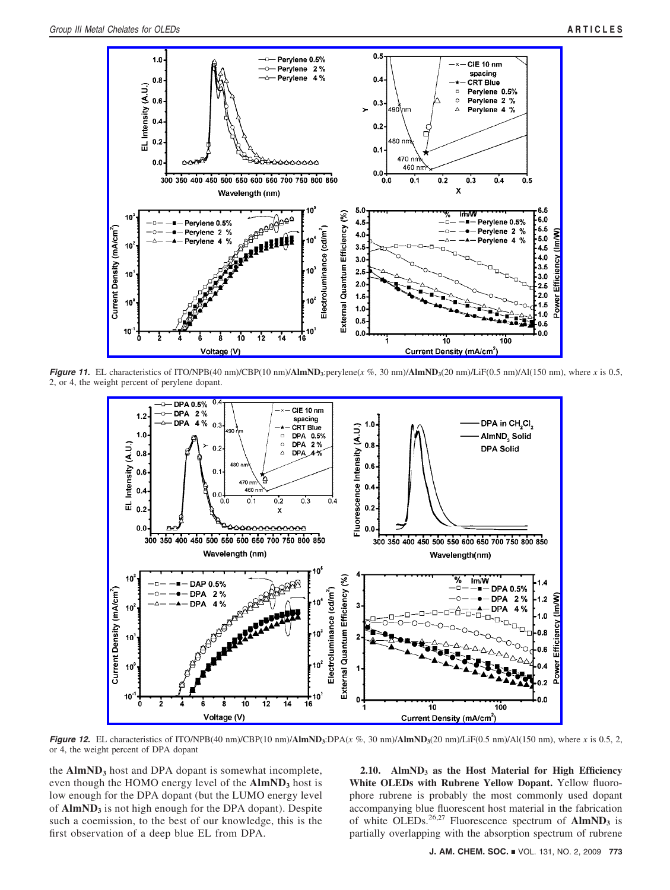

*Figure 11.* EL characteristics of ITO/NPB(40 nm)/CBP(10 nm)/**AlmND<sub>3</sub>**:perylene(*x* %, 30 nm)/**AlmND<sub>3</sub>**(20 nm)/LiF(0.5 nm)/Al(150 nm), where *x* is 0.5, 2, or 4, the weight percent of perylene dopant.



*Figure 12.* EL characteristics of ITO/NPB(40 nm)/CBP(10 nm)/**AlmND**3:DPA( $x$  %, 30 nm)/**AlmND**3(20 nm)/LiF(0.5 nm)/Al(150 nm), where  $x$  is 0.5, 2, or 4, the weight percent of DPA dopant

the **AlmND**<sub>3</sub> host and DPA dopant is somewhat incomplete, even though the HOMO energy level of the **AlmND**3 host is low enough for the DPA dopant (but the LUMO energy level of **AlmND**<sub>3</sub> is not high enough for the DPA dopant). Despite such a coemission, to the best of our knowledge, this is the first observation of a deep blue EL from DPA.

**2.10. AlmND3 as the Host Material for High Efficiency White OLEDs with Rubrene Yellow Dopant.** Yellow fluorophore rubrene is probably the most commonly used dopant accompanying blue fluorescent host material in the fabrication of white OLEDs.<sup>26,27</sup> Fluorescence spectrum of **AlmND**3 is partially overlapping with the absorption spectrum of rubrene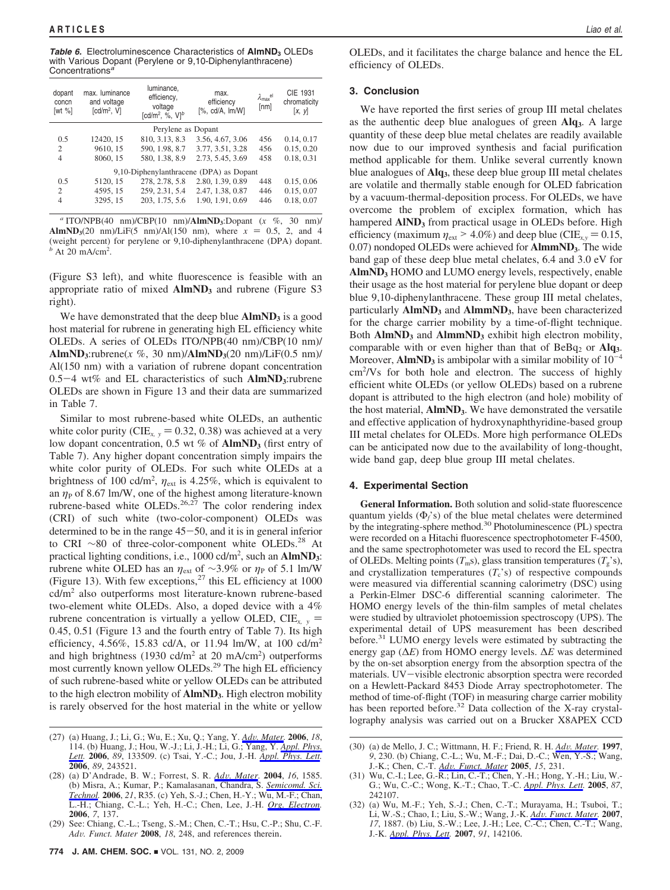**Table 6.** Electroluminescence Characteristics of **AlmND**3 OLEDs with Various Dopant (Perylene or 9,10-Diphenylanthracene) Concentrations*<sup>a</sup>*

| dopant<br>concn<br>[wt $%$ ] | max. luminance<br>and voltage<br>[cd/m <sup>2</sup> , V] | luminance,<br>efficiency,<br>voltage<br>[cd/m <sup>2</sup> , %, $VI^b$ | max.<br>efficiency<br>$[%$ , cd/A, $Im/W]$ | $\lambda_{\text{max}}^{\text{el}}$<br>[nm] | CIE 1931<br>chromaticity<br>[x, y] |
|------------------------------|----------------------------------------------------------|------------------------------------------------------------------------|--------------------------------------------|--------------------------------------------|------------------------------------|
|                              |                                                          | Perylene as Dopant                                                     |                                            |                                            |                                    |
| 0.5                          | 12420, 15                                                | 810, 3.13, 8.3                                                         | 3.56, 4.67, 3.06                           | 456                                        | 0.14, 0.17                         |
| 2                            | 9610, 15                                                 | 590, 1.98, 8.7                                                         | 3.77, 3.51, 3.28                           | 456                                        | 0.15, 0.20                         |
| $\overline{4}$               | 8060, 15                                                 | 580, 1.38, 8.9                                                         | 2.73, 5.45, 3.69                           | 458                                        | 0.18, 0.31                         |
|                              |                                                          |                                                                        | 9,10-Diphenylanthracene (DPA) as Dopant    |                                            |                                    |
| 0.5                          | 5120, 15                                                 | 278, 2.78, 5.8                                                         | 2.80, 1.39, 0.89                           | 448                                        | 0.15, 0.06                         |
| $\mathcal{D}_{\mathcal{L}}$  | 4595, 15                                                 | 259, 2.31, 5.4                                                         | 2.47, 1.38, 0.87                           | 446                                        | 0.15, 0.07                         |
| 4                            | 3295, 15                                                 | 203, 1.75, 5.6                                                         | 1.90, 1.91, 0.69                           | 446                                        | 0.18, 0.07                         |

*<sup>a</sup>* ITO/NPB(40 nm)/CBP(10 nm)/**AlmND3**:Dopant (*x* %, 30 nm)/ **AlmND**<sub>3</sub>(20 nm)/LiF(5 nm)/Al(150 nm), where  $x = 0.5$ , 2, and 4 (weight percent) for perylene or 9,10-diphenylanthracene (DPA) dopant.  $b$  At 20 mA/cm<sup>2</sup>.

(Figure S3 left), and white fluorescence is feasible with an appropriate ratio of mixed **AlmND**<sub>3</sub> and rubrene (Figure S3 right).

We have demonstrated that the deep blue  $\text{AlmND}_3$  is a good host material for rubrene in generating high EL efficiency white OLEDs. A series of OLEDs ITO/NPB(40 nm)/CBP(10 nm)/ **AlmND**<sub>3</sub>: rubrene( $x$  %, 30 nm)/**AlmND**<sub>3</sub>(20 nm)/LiF(0.5 nm)/ Al(150 nm) with a variation of rubrene dopant concentration  $0.5-4$  wt% and EL characteristics of such  $AlmND_3$ :rubrene OLEDs are shown in Figure 13 and their data are summarized in Table 7.

Similar to most rubrene-based white OLEDs, an authentic white color purity (CIE<sub>x, y</sub> = 0.32, 0.38) was achieved at a very low dopant concentration, 0.5 wt % of **AlmND**<sub>3</sub> (first entry of Table 7). Any higher dopant concentration simply impairs the white color purity of OLEDs. For such white OLEDs at a brightness of 100 cd/m<sup>2</sup>,  $\eta_{ext}$  is 4.25%, which is equivalent to an  $\eta_P$  of 8.67 lm/W, one of the highest among literature-known rubrene-based white OLEDs.<sup>26,27</sup> The color rendering index (CRI) of such white (two-color-component) OLEDs was determined to be in the range  $45-50$ , and it is in general inferior to CRI  $\sim$ 80 of three-color-component white OLEDs.<sup>28</sup> At practical lighting conditions, i.e., 1000 cd/m<sup>2</sup>, such an **AlmND**<sub>3</sub>: rubrene white OLED has an  $η_{ext}$  of ~3.9% or  $η_P$  of 5.1 lm/W (Figure 13). With few exceptions, $^{27}$  this EL efficiency at 1000 cd/m2 also outperforms most literature-known rubrene-based two-element white OLEDs. Also, a doped device with a 4% rubrene concentration is virtually a yellow OLED,  $CIE_{x,y}$  = 0.45, 0.51 (Figure 13 and the fourth entry of Table 7). Its high efficiency, 4.56%, 15.83 cd/A, or 11.94 lm/W, at 100 cd/m2 and high brightness (1930 cd/m<sup>2</sup> at 20 mA/cm<sup>2</sup>) outperforms most currently known yellow OLEDs.29 The high EL efficiency of such rubrene-based white or yellow OLEDs can be attributed to the high electron mobility of **AlmND3**. High electron mobility is rarely observed for the host material in the white or yellow OLEDs, and it facilitates the charge balance and hence the EL efficiency of OLEDs.

### **3. Conclusion**

We have reported the first series of group III metal chelates as the authentic deep blue analogues of green **Alq3**. A large quantity of these deep blue metal chelates are readily available now due to our improved synthesis and facial purification method applicable for them. Unlike several currently known blue analogues of **Alq3**, these deep blue group III metal chelates are volatile and thermally stable enough for OLED fabrication by a vacuum-thermal-deposition process. For OLEDs, we have overcome the problem of exciplex formation, which has hampered **AIND**<sub>3</sub> from practical usage in OLEDs before. High efficiency (maximum  $\eta_{ext} > 4.0\%$ ) and deep blue (CIE<sub>*x*,y</sub> = 0.15, 0.07) nondoped OLEDs were achieved for **AlmmND3**. The wide band gap of these deep blue metal chelates, 6.4 and 3.0 eV for AlmND<sub>3</sub> HOMO and LUMO energy levels, respectively, enable their usage as the host material for perylene blue dopant or deep blue 9,10-diphenylanthracene. These group III metal chelates, particularly **AlmND3** and **AlmmND3**, have been characterized for the charge carrier mobility by a time-of-flight technique. Both **AlmND3** and **AlmmND3** exhibit high electron mobility, comparable with or even higher than that of BeBq<sub>2</sub> or Alq<sub>3</sub>. Moreover,  $\text{AlmND}_3$  is ambipolar with a similar mobility of  $10^{-4}$ cm2 /Vs for both hole and electron. The success of highly efficient white OLEDs (or yellow OLEDs) based on a rubrene dopant is attributed to the high electron (and hole) mobility of the host material, **AlmND3**. We have demonstrated the versatile and effective application of hydroxynaphthyridine-based group III metal chelates for OLEDs. More high performance OLEDs can be anticipated now due to the availability of long-thought, wide band gap, deep blue group III metal chelates.

### **4. Experimental Section**

**General Information.** Both solution and solid-state fluorescence quantum yields (Φ*f*'s) of the blue metal chelates were determined by the integrating-sphere method.30 Photoluminescence (PL) spectra were recorded on a Hitachi fluorescence spectrophotometer F-4500, and the same spectrophotometer was used to record the EL spectra of OLEDs. Melting points  $(T_m s)$ , glass transition temperatures  $(T_g's)$ , and crystallization temperatures  $(T_c^s)$  of respective compounds were measured via differential scanning calorimetry (DSC) using a Perkin-Elmer DSC-6 differential scanning calorimeter. The HOMO energy levels of the thin-film samples of metal chelates were studied by ultraviolet photoemission spectroscopy (UPS). The experimental detail of UPS measurement has been described before.<sup>31</sup> LUMO energy levels were estimated by subtracting the energy gap (∆*E*) from HOMO energy levels. ∆*E* was determined by the on-set absorption energy from the absorption spectra of the materials. UV-visible electronic absorption spectra were recorded on a Hewlett-Packard 8453 Diode Array spectrophotometer. The method of time-of-flight (TOF) in measuring charge carrier mobility has been reported before.<sup>32</sup> Data collection of the X-ray crystallography analysis was carried out on a Brucker X8APEX CCD

<sup>(27) (</sup>a) Huang, J.; Li, G.; Wu, E.; Xu, Q.; Yang, Y. *Adv. Mater.* **2006**, *18*, 114. (b) Huang, J.; Hou, W.-J.; Li, J.-H.; Li, G.; Yang, Y. *Appl. Phys. Lett.* **2006**, *89*, 133509. (c) Tsai, Y.-C.; Jou, J.-H. *Appl. Phys. Lett.* **2006**, *89*, 243521.

<sup>(28) (</sup>a) D'Andrade, B. W.; Forrest, S. R. *Ad*V*. Mater.* **<sup>2004</sup>**, *<sup>16</sup>*, 1585. (b) Misra, A.; Kumar, P.; Kamalasanan, Chandra, S. *Semicomd. Sci. Technol.* **2006**, *21*, R35. (c) Yeh, S.-J.; Chen, H.-Y.; Wu, M.-F.; Chan, L.-H.; Chiang, C.-L.; Yeh, H.-C.; Chen, Lee, J.-H. *Org. Electron.* **2006**, *7*, 137.

<sup>(29)</sup> See: Chiang, C.-L.; Tseng, S.-M.; Chen, C.-T.; Hsu, C.-P.; Shu, C.-F. *Ad*V*. Funct. Mater* **<sup>2008</sup>**, *<sup>18</sup>*, 248, and references therein.

<sup>(30) (</sup>a) de Mello, J. C.; Wittmann, H. F.; Friend, R. H. *Ad*V*. Mater.* **<sup>1997</sup>**, *9*, 230. (b) Chiang, C.-L.; Wu, M.-F.; Dai, D.-C.; Wen, Y.-S.; Wang, J.-K.; Chen, C.-T. *Ad*V*. Funct. Mater* **<sup>2005</sup>**, *<sup>15</sup>*, 231. (31) Wu, C.-I.; Lee, G.-R.; Lin, C.-T.; Chen, Y.-H.; Hong, Y.-H.; Liu, W.-

G.; Wu, C.-C.; Wong, K.-T.; Chao, T.-C. *Appl. Phys. Lett.* **2005**, *87*, 242107.

<sup>(32) (</sup>a) Wu, M.-F.; Yeh, S.-J.; Chen, C.-T.; Murayama, H.; Tsuboi, T.; Li, W.-S.; Chao, I.; Liu, S.-W.; Wang, J.-K. *Ad*V*. Funct. Mater.* **<sup>2007</sup>**, *17*, 1887. (b) Liu, S.-W.; Lee, J.-H.; Lee, C.-C.; Chen, C.-T.; Wang, J.-K. *Appl. Phys. Lett.* **2007**, *91*, 142106.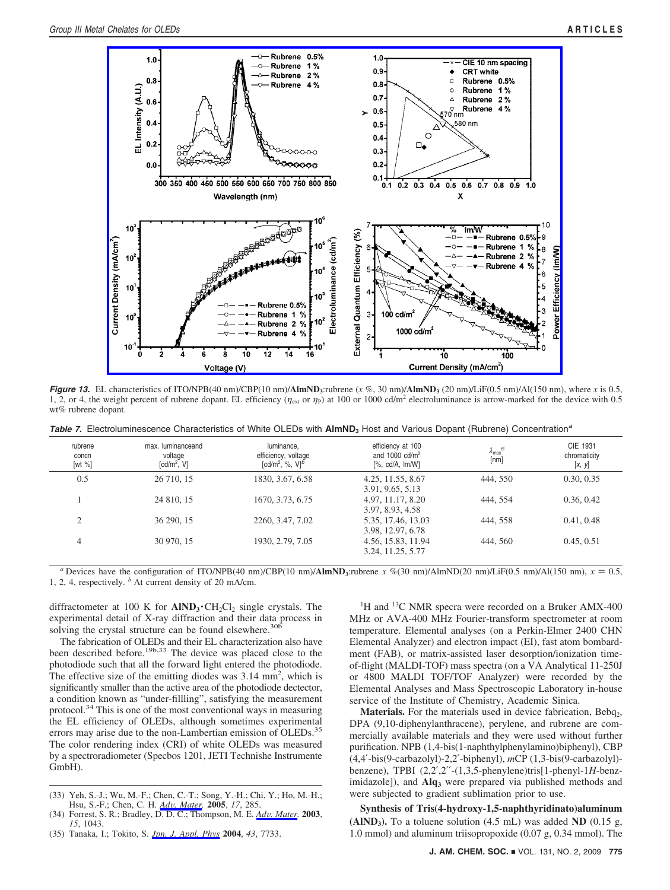

*Figure 13.* EL characteristics of ITO/NPB(40 nm)/CBP(10 nm)/**AlmND**<sub>3</sub>:rubrene (*x* %, 30 nm)/**AlmND**<sub>3</sub> (20 nm)/LiF(0.5 nm)/Al(150 nm), where *x* is 0.5, 1, 2, or 4, the weight percent of rubrene dopant. EL efficiency ( $η<sub>ext</sub>$  or  $η<sub>P</sub>$ ) at 100 or 1000 cd/m<sup>2</sup> electroluminance is arrow-marked for the device with 0.5 wt% rubrene dopant.

*Table 7.* Electroluminescence Characteristics of White OLEDs with **AlmND**<sub>3</sub> Host and Various Dopant (Rubrene) Concentration<sup>*a*</sup>

| rubrene<br>concn<br>[wt $%$ ] | max. luminanceand<br>voltage<br>[cd/m <sup>2</sup> , V] | luminance.<br>efficiency, voltage<br>[cd/m <sup>2</sup> , %, $V$ ] <sup>b</sup> | efficiency at 100<br>and $1000 \text{ cd/m}^2$<br>$[\%$ , cd/A, $Im/W]$ | $\lambda_{\text{max}}^{\text{el}}$<br>[nm] | CIE 1931<br>chromaticity<br>[x, y] |
|-------------------------------|---------------------------------------------------------|---------------------------------------------------------------------------------|-------------------------------------------------------------------------|--------------------------------------------|------------------------------------|
| 0.5                           | 26 710, 15                                              | 1830, 3.67, 6.58                                                                | 4.25, 11.55, 8.67<br>3.91, 9.65, 5.13                                   | 444, 550                                   | 0.30, 0.35                         |
|                               | 24 810, 15                                              | 1670, 3.73, 6.75                                                                | 4.97, 11.17, 8.20<br>3.97, 8.93, 4.58                                   | 444, 554                                   | 0.36, 0.42                         |
|                               | 36 290, 15                                              | 2260, 3.47, 7.02                                                                | 5.35, 17.46, 13.03<br>3.98, 12.97, 6.78                                 | 444, 558                                   | 0.41, 0.48                         |
| 4                             | 30 970, 15                                              | 1930, 2.79, 7.05                                                                | 4.56, 15.83, 11.94<br>3.24, 11.25, 5.77                                 | 444, 560                                   | 0.45, 0.51                         |

*a* Devices have the configuration of ITO/NPB(40 nm)/CBP(10 nm)/**AlmND**3:rubrene *x* %(30 nm)/AlmND(20 nm)/LiF(0.5 nm)/Al(150 nm),  $x = 0.5$ , 1, 2, 4, respectively. *<sup>b</sup>* At current density of 20 mA/cm.

diffractometer at 100 K for  $\text{AIND}_3$  ·  $\text{CH}_2\text{Cl}_2$  single crystals. The experimental detail of X-ray diffraction and their data process in solving the crystal structure can be found elsewhere.<sup>30</sup>

The fabrication of OLEDs and their EL characterization also have been described before.<sup>19b,33</sup> The device was placed close to the photodiode such that all the forward light entered the photodiode. The effective size of the emitting diodes was  $3.14 \text{ mm}^2$ , which is significantly smaller than the active area of the photodiode dectector, a condition known as "under-fillling", satisfying the measurement protocol.34 This is one of the most conventional ways in measuring the EL efficiency of OLEDs, although sometimes experimental errors may arise due to the non-Lambertian emission of OLEDs.<sup>35</sup> The color rendering index (CRI) of white OLEDs was measured by a spectroradiometer (Specbos 1201, JETI Technishe Instrumente GmbH).

- (33) Yeh, S.-J.; Wu, M.-F.; Chen, C.-T.; Song, Y.-H.; Chi, Y.; Ho, M.-H.; Hsu, S.-F.; Chen, C. H.  $\frac{Adv. Mater. 2005}{, 17, 285}$ .
- Hsu, S.-F.; Chen, C. H. *Ad*V*. Mater.* **<sup>2005</sup>**, *<sup>17</sup>*, 285. (34) Forrest, S. R.; Bradley, D. D. C.; Thompson, M. E. *Ad*V*. Mater.* **<sup>2003</sup>**, *15*, 1043.
- (35) Tanaka, I.; Tokito, S. *Jpn. J. Appl. Phys* **2004**, *43*, 7733.

<sup>1</sup>H and <sup>13</sup>C NMR specra were recorded on a Bruker AMX-400 MHz or AVA-400 MHz Fourier-transform spectrometer at room temperature. Elemental analyses (on a Perkin-Elmer 2400 CHN Elemental Analyzer) and electron impact (EI), fast atom bombardment (FAB), or matrix-assisted laser desorption/ionization timeof-flight (MALDI-TOF) mass spectra (on a VA Analytical 11-250J or 4800 MALDI TOF/TOF Analyzer) were recorded by the Elemental Analyses and Mass Spectroscopic Laboratory in-house service of the Institute of Chemistry, Academic Sinica.

**Materials.** For the materials used in device fabrication, Bebq<sub>2</sub>, DPA (9,10-diphenylanthracene), perylene, and rubrene are commercially available materials and they were used without further purification. NPB (1,4-bis(1-naphthylphenylamino)biphenyl), CBP (4,4′-bis(9-carbazolyl)-2,2′-biphenyl), *m*CP (1,3-bis(9-carbazolyl) benzene), TPBI (2,2′,2′′-(1,3,5-phenylene)tris[1-phenyl-1*H*-benzimidazole]), and **Alq<sub>3</sub>** were prepared via published methods and were subjected to gradient sublimation prior to use.

**Synthesis of Tris(4-hydroxy-1,5-naphthyridinato)aluminum**  $(AIND<sub>3</sub>)$ . To a toluene solution  $(4.5 \text{ mL})$  was added **ND**  $(0.15 \text{ g})$ , 1.0 mmol) and aluminum triisopropoxide (0.07 g, 0.34 mmol). The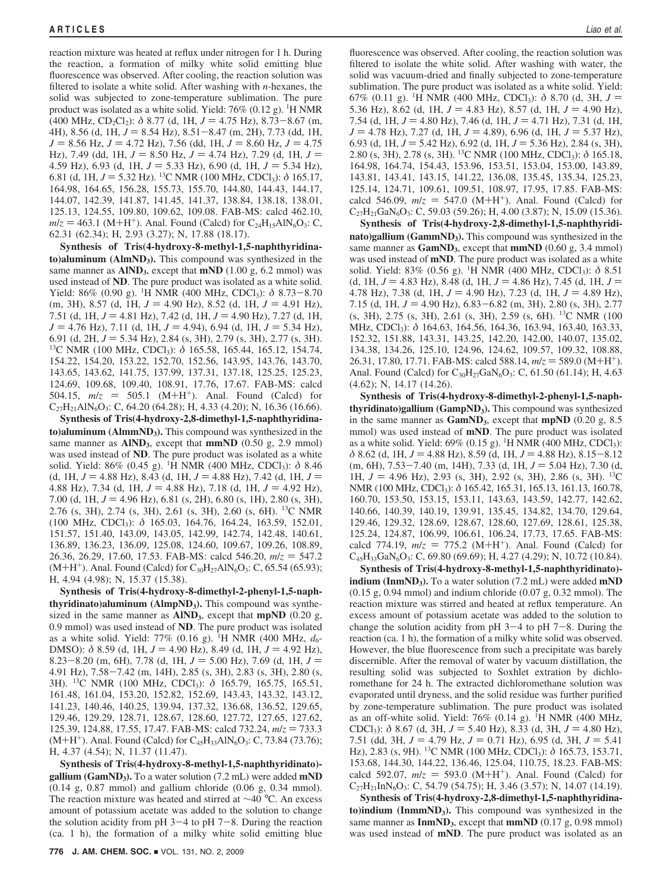reaction mixture was heated at reflux under nitrogen for 1 h. During the reaction, a formation of milky white solid emitting blue fluorescence was observed. After cooling, the reaction solution was filtered to isolate a white solid. After washing with *n-*hexanes, the solid was subjected to zone-temperature sublimation. The pure product was isolated as a white solid. Yield: 76% (0.12 g). <sup>1</sup>H NMR  $(400 \text{ MHz}, \text{CD}_2\text{Cl}_2): \delta 8.77 \text{ (d, 1H, } J = 4.75 \text{ Hz}), 8.73-8.67 \text{ (m, }$ 4H), 8.56 (d, 1H,  $J = 8.54$  Hz),  $8.51 - 8.47$  (m, 2H), 7.73 (dd, 1H,  $J = 8.56$  Hz,  $J = 4.72$  Hz), 7.56 (dd, 1H,  $J = 8.60$  Hz,  $J = 4.75$ Hz), 7.49 (dd, 1H,  $J = 8.50$  Hz,  $J = 4.74$  Hz), 7.29 (d, 1H,  $J =$ 4.59 Hz), 6.93 (d, 1H,  $J = 5.33$  Hz), 6.90 (d, 1H,  $J = 5.34$  Hz), 6.81 (d, 1H,  $J = 5.32$  Hz). <sup>13</sup>C NMR (100 MHz, CDCl<sub>3</sub>):  $\delta$  165.17, 164.98, 164.65, 156.28, 155.73, 155.70, 144.80, 144.43, 144.17, 144.07, 142.39, 141.87, 141.45, 141.37, 138.84, 138.18, 138.01, 125.13, 124.55, 109.80, 109.62, 109.08. FAB-MS: calcd 462.10,  $m/z = 463.1$  (M+H<sup>+</sup>). Anal. Found (Calcd) for C<sub>24</sub>H<sub>15</sub>AlN<sub>6</sub>O<sub>3</sub>: C, 62.31 (62.34); H, 2.93 (3.27); N, 17.88 (18.17).

**Synthesis of Tris(4-hydroxy-8-methyl-1,5-naphthyridinato)aluminum (AlmND3).** This compound was synthesized in the same manner as  $\text{AlND}_3$ , except that  $\text{mND}$  (1.00 g, 6.2 mmol) was used instead of **ND**. The pure product was isolated as a white solid. Yield: 86% (0.90 g). <sup>1</sup>H NMR (400 MHz, CDCl<sub>3</sub>):  $\delta$  8.73–8.70 (m 3H) 8.57 (d 1H  $I = 4.91$  Hz)  $(m, 3H)$ , 8.57 (d, 1H,  $J = 4.90$  Hz), 8.52 (d, 1H,  $J = 4.91$  Hz), 7.51 (d, 1H,  $J = 4.81$  Hz), 7.42 (d, 1H,  $J = 4.90$  Hz), 7.27 (d, 1H,  $J = 4.76$  Hz), 7.11 (d, 1H,  $J = 4.94$ ), 6.94 (d, 1H,  $J = 5.34$  Hz), 6.91 (d, 2H, *J* = 5.34 Hz), 2.84 (s, 3H), 2.79 (s, 3H), 2.77 (s, 3H). <sup>13</sup>C NMR (100 MHz, CDCl<sub>3</sub>): *δ* 165.58, 165.44, 165.12, 154.74, 154.22, 154.20, 153.22, 152.70, 152.56, 143.95, 143.76, 143.70, 143.65, 143.62, 141.75, 137.99, 137.31, 137.18, 125.25, 125.23, 124.69, 109.68, 109.40, 108.91, 17.76, 17.67. FAB-MS: calcd 504.15,  $m/z = 505.1$  (M+H<sup>+</sup>). Anal. Found (Calcd) for C<sub>27</sub>H<sub>21</sub>AlN<sub>6</sub>O<sub>3</sub>: C, 64.20 (64.28); H, 4.33 (4.20); N, 16.36 (16.66).

**Synthesis of Tris(4-hydroxy-2,8-dimethyl-1,5-naphthyridinato)aluminum (AlmmND<sub>3</sub>).** This compound was synthesized in the same manner as **AIND**<sub>3</sub>, except that **mmND** (0.50 g, 2.9 mmol) was used instead of **ND**. The pure product was isolated as a white solid. Yield: 86% (0.45 g). <sup>1</sup>H NMR (400 MHz, CDCl<sub>3</sub>): δ 8.46 (d, 1H,  $J = 4.88$  Hz), 8.43 (d, 1H,  $J = 4.88$  Hz), 7.42 (d, 1H,  $J =$ 4.88 Hz), 7.34 (d, 1H,  $J = 4.88$  Hz), 7.18 (d, 1H,  $J = 4.92$  Hz), 7.00 (d, 1H,  $J = 4.96$  Hz), 6.81 (s, 2H), 6.80 (s, 1H), 2.80 (s, 3H), 2.76 (s, 3H), 2.74 (s, 3H), 2.61 (s, 3H), 2.60 (s, 6H). 13C NMR (100 MHz, CDCl3): *δ* 165.03, 164.76, 164.24, 163.59, 152.01, 151.57, 151.40, 143.09, 143.05, 142.99, 142.74, 142.48, 140.61, 136.89, 136.23, 136.09, 125.08, 124.60, 109.67, 109.26, 108.89, 26.36, 26.29, 17.60, 17.53. FAB-MS: calcd 546.20,  $m/z = 547.2$  $(M+H^+)$ . Anal. Found (Calcd) for  $C_{30}H_{27}AlN_6O_3$ : C, 65.54 (65.93); H, 4.94 (4.98); N, 15.37 (15.38).

**Synthesis of Tris(4-hydroxy-8-dimethyl-2-phenyl-1,5-naphthyridinato)aluminum (AlmpND3).** This compound was synthesized in the same manner as  $\text{AlND}_3$ , except that **mpND** (0.20 g, 0.9 mmol) was used instead of **ND**. The pure product was isolated as a white solid. Yield: 77% (0.16 g). <sup>1</sup>H NMR (400 MHz,  $d_6$ -DMSO):  $\delta$  8.59 (d, 1H,  $J = 4.90$  Hz), 8.49 (d, 1H,  $J = 4.92$  Hz), 8.23-8.20 (m, 6H), 7.78 (d, 1H,  $J = 5.00$  Hz), 7.69 (d, 1H,  $J =$ 4.91 Hz), 7.58-7.42 (m, 14H), 2.85 (s, 3H), 2.83 (s, 3H), 2.80 (s, 3H). <sup>13</sup>C NMR (100 MHz, CDCl<sub>3</sub>): δ 165.79, 165.75, 165.51, 161.48, 161.04, 153.20, 152.82, 152.69, 143.43, 143.32, 143.12, 141.23, 140.46, 140.25, 139.94, 137.32, 136.68, 136.52, 129.65, 129.46, 129.29, 128.71, 128.67, 128.60, 127.72, 127.65, 127.62, 125.39, 124.88, 17.55, 17.47. FAB-MS: calcd 732.24,  $m/z = 733.3$  $(M+H^+)$ . Anal. Found (Calcd) for C<sub>45</sub>H<sub>33</sub>AlN<sub>6</sub>O<sub>3</sub>: C, 73.84 (73.76); H, 4.37 (4.54); N, 11.37 (11.47).

**Synthesis of Tris(4-hydroxy-8-methyl-1,5-naphthyridinato) gallium (GamND3).** To a water solution (7.2 mL) were added **mND** (0.14 g, 0.87 mmol) and gallium chloride (0.06 g, 0.34 mmol). The reaction mixture was heated and stirred at ∼40 °C. An excess amount of potassium acetate was added to the solution to change the solution acidity from pH  $3-4$  to pH  $7-8$ . During the reaction (ca. 1 h), the formation of a milky white solid emitting blue

fluorescence was observed. After cooling, the reaction solution was filtered to isolate the white solid. After washing with water, the solid was vacuum-dried and finally subjected to zone-temperature sublimation. The pure product was isolated as a white solid. Yield: 67% (0.11 g). <sup>1</sup>H NMR (400 MHz, CDCl<sub>3</sub>):  $\delta$  8.70 (d, 3H,  $J =$ 5.36 Hz) 8.62 (d, 1H  $I = 4.83$  Hz) 8.57 (d, 1H  $I = 4.90$  Hz) 5.36 Hz), 8.62 (d, 1H,  $J = 4.83$  Hz), 8.57 (d, 1H,  $J = 4.90$  Hz), 7.54 (d, 1H,  $J = 4.80$  Hz), 7.46 (d, 1H,  $J = 4.71$  Hz), 7.31 (d, 1H, *J* = 4.78 Hz), 7.27 (d, 1H, *J* = 4.89), 6.96 (d, 1H, *J* = 5.37 Hz), 6.93 (d, 1H, *J* = 5.42 Hz), 6.92 (d, 1H, *J* = 5.36 Hz), 2.84 (s, 3H), 6.93 (d, 1H, *J* = 5.42 Hz), 6.92 (d, 1H, *J* = 5.36 Hz), 2.84 (s, 3H), 2.80 (s, 3H), 2.78 (s, 3H). <sup>13</sup>C NMR (100 MHz, CDCl<sub>3</sub>):  $\delta$  165.18, 164.98, 164.74, 154.43, 153.96, 153.51, 153.04, 153.00, 143.89, 143.81, 143.41, 143.15, 141.22, 136.08, 135.45, 135.34, 125.23, 125.14, 124.71, 109.61, 109.51, 108.97, 17.95, 17.85. FAB-MS: calcd 546.09,  $m/z = 547.0$  (M+H<sup>+</sup>). Anal. Found (Calcd) for  $C_{27}H_{21}GaN_6O_3$ : C, 59.03 (59.26); H, 4.00 (3.87); N, 15.09 (15.36).

**Synthesis of Tris(4-hydroxy-2,8-dimethyl-1,5-naphthyridinato)gallium (GammND<sub>3</sub>).** This compound was synthesized in the same manner as **GamND**<sub>3</sub>, except that **mmND** (0.60 g, 3.4 mmol) was used instead of **mND**. The pure product was isolated as a white solid. Yield: 83% (0.56 g). <sup>1</sup>H NMR (400 MHz, CDCl<sub>3</sub>): δ 8.51 (d, 1H,  $J = 4.83$  Hz), 8.48 (d, 1H,  $J = 4.86$  Hz), 7.45 (d, 1H,  $J =$ 4.78 Hz), 7.38 (d, 1H,  $J = 4.90$  Hz), 7.23 (d, 1H,  $J = 4.89$  Hz), 7.15 (d, 1H,  $J = 4.90$  Hz),  $6.83 - 6.82$  (m, 3H), 2.80 (s, 3H), 2.77 (s, 3H), 2.75 (s, 3H), 2.61 (s, 3H), 2.59 (s, 6H). 13C NMR (100 MHz, CDCl3): *δ* 164.63, 164.56, 164.36, 163.94, 163.40, 163.33, 152.32, 151.88, 143.31, 143.25, 142.20, 142.00, 140.07, 135.02, 134.38, 134.26, 125.10, 124.96, 124.62, 109.57, 109.32, 108.88, 26.31, 17.80, 17.71. FAB-MS: calcd 588.14,  $m/z = 589.0$  (M+H<sup>+</sup>). Anal. Found (Calcd) for  $C_{30}H_{27}GaN_6O_3$ : C, 61.50 (61.14); H, 4.63 (4.62); N, 14.17 (14.26).

**Synthesis of Tris(4-hydroxy-8-dimethyl-2-phenyl-1,5-naphthyridinato)gallium (GampND3).** This compound was synthesized in the same manner as **GamND3**, except that **mpND** (0.20 g, 8.5 mmol) was used instead of **mND**. The pure product was isolated as a white solid. Yield:  $69\%$  (0.15 g). <sup>1</sup>H NMR (400 MHz, CDCl<sub>3</sub>): *δ* 8.62 (d, 1H, *J* = 4.88 Hz), 8.59 (d, 1H, *J* = 4.88 Hz), 8.15-8.12  $(m, 6H), 7.53-7.40$   $(m, 14H), 7.33$   $(d, 1H, J = 5.04$  Hz), 7.30  $(d,$ 1H,  $J = 4.96$  Hz), 2.93 (s, 3H), 2.92 (s, 3H), 2.86 (s, 3H). <sup>13</sup>C NMR (100 MHz, CDCl3): *δ* 165.42, 165.31, 165.13, 161.13, 160.78, 160.70, 153.50, 153.15, 153.11, 143.63, 143.59, 142.77, 142.62, 140.66, 140.39, 140.19, 139.91, 135.45, 134.82, 134.70, 129.64, 129.46, 129.32, 128.69, 128.67, 128.60, 127.69, 128.61, 125.38, 125.24, 124.87, 106.99, 106.61, 106.24, 17.73, 17.65. FAB-MS: calcd 774.19,  $m/z = 775.2$  (M+H<sup>+</sup>). Anal. Found (Calcd) for  $C_{45}H_{33}GaN_6O_3$ : C, 69.80 (69.69); H, 4.27 (4.29); N, 10.72 (10.84).

**Synthesis of Tris(4-hydroxy-8-methyl-1,5-naphthyridinato) indium (InmND<sub>3</sub>).** To a water solution (7.2 mL) were added **mND** (0.15 g, 0.94 mmol) and indium chloride (0.07 g, 0.32 mmol). The reaction mixture was stirred and heated at reflux temperature. An excess amount of potassium acetate was added to the solution to change the solution acidity from pH  $3-4$  to pH  $7-8$ . During the reaction (ca. 1 h), the formation of a milky white solid was observed. However, the blue fluorescence from such a precipitate was barely discernible. After the removal of water by vacuum distillation, the resulting solid was subjected to Soxhlet extration by dichloromethane for 24 h. The extracted dichloromethane solution was evaporated until dryness, and the solid residue was further purified by zone-temperature sublimation. The pure product was isolated as an off-white solid. Yield:  $76\%$  (0.14 g). <sup>1</sup>H NMR (400 MHz, CDCl<sub>3</sub>):  $\delta$  8.67 (d, 3H,  $J = 5.40$  Hz), 8.33 (d, 3H,  $J = 4.80$  Hz), 7.51 (dd, 3H,  $J = 4.79$  Hz,  $J = 0.71$  Hz), 6.95 (d, 3H,  $J = 5.41$ Hz), 2.83 (s, 9H). 13C NMR (100 MHz, CDCl3): *δ* 165.73, 153.71, 153.68, 144.30, 144.22, 136.46, 125.04, 110.75, 18.23. FAB-MS: calcd 592.07,  $m/z = 593.0$  (M+H<sup>+</sup>). Anal. Found (Calcd) for C<sub>27</sub>H<sub>21</sub>InN<sub>6</sub>O<sub>3</sub>: C, 54.79 (54.75); H, 3.46 (3.57); N, 14.07 (14.19).

**Synthesis of Tris(4-hydroxy-2,8-dimethyl-1,5-naphthyridinato)indium (InmmND3).** This compound was synthesized in the same manner as **InmND**<sub>3</sub>, except that **mmND** (0.17 g, 0.98 mmol) was used instead of **mND**. The pure product was isolated as an